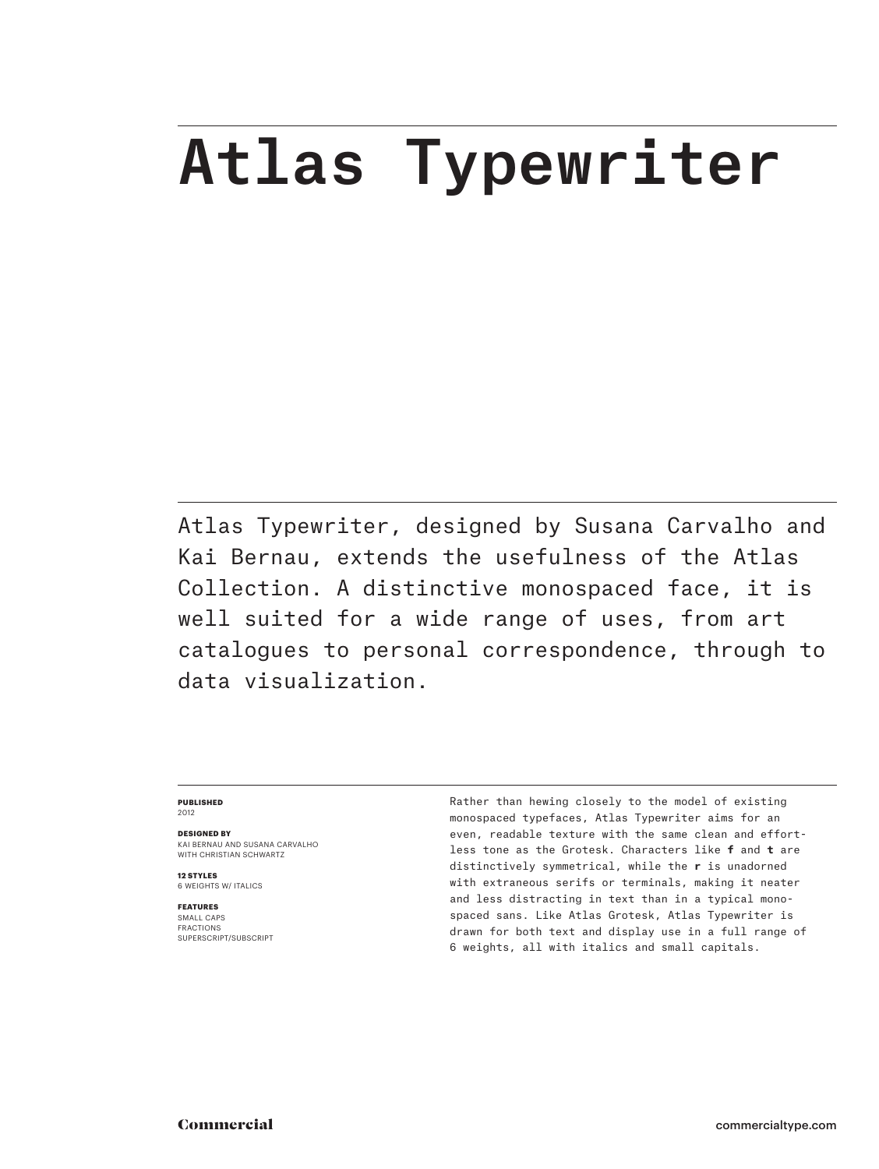## Atlas Typewriter

Atlas Typewriter, designed by Susana Carvalho and Kai Bernau, extends the usefulness of the Atlas Collection. A distinctive monospaced face, it is well suited for a wide range of uses, from art catalogues to personal correspondence, through to data visualization.

## **PUBLISHED** 2012

**DESIGNED BY** KAI BERNAU AND SUSANA CARVALHO

WITH CHRISTIAN SCHWARTZ

**12 STYLES** 6 WEIGHTS W/ ITALICS

**FEATURES** SMALL CAPS FRACTIONS

SUPERSCRIPT/SUBSCRIPT

Rather than hewing closely to the model of existing monospaced typefaces, Atlas Typewriter aims for an even, readable texture with the same clean and effortless tone as the Grotesk. Characters like **f** and **t** are distinctively symmetrical, while the **r** is unadorned with extraneous serifs or terminals, making it neater and less distracting in text than in a typical monospaced sans. Like Atlas Grotesk, Atlas Typewriter is drawn for both text and display use in a full range of 6 weights, all with italics and small capitals.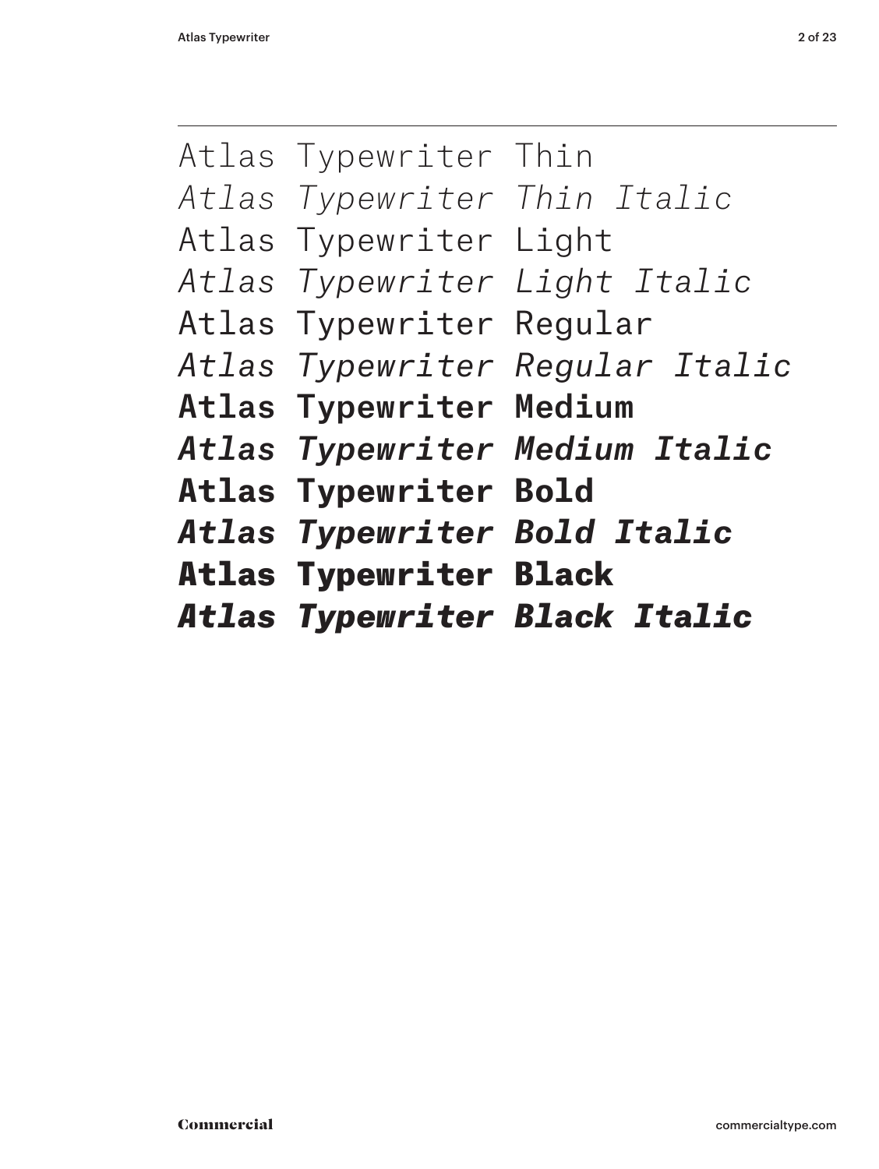|                                | <b>Atlas Typewriter Black Italic</b>  |
|--------------------------------|---------------------------------------|
| <b>Atlas Typewriter Black</b>  |                                       |
|                                | <b>Atlas Typewriter Bold Italic</b>   |
| <b>Atlas Typewriter Bold</b>   |                                       |
|                                | <b>Atlas Typewriter Medium Italic</b> |
| <b>Atlas Typewriter Medium</b> |                                       |
|                                | Atlas Typewriter Regular Italic       |
| Atlas Typewriter Regular       |                                       |
|                                | Atlas Typewriter Light Italic         |
| Atlas Typewriter Light         |                                       |
|                                | Atlas Typewriter Thin Italic          |
| Atlas Typewriter Thin          |                                       |
|                                |                                       |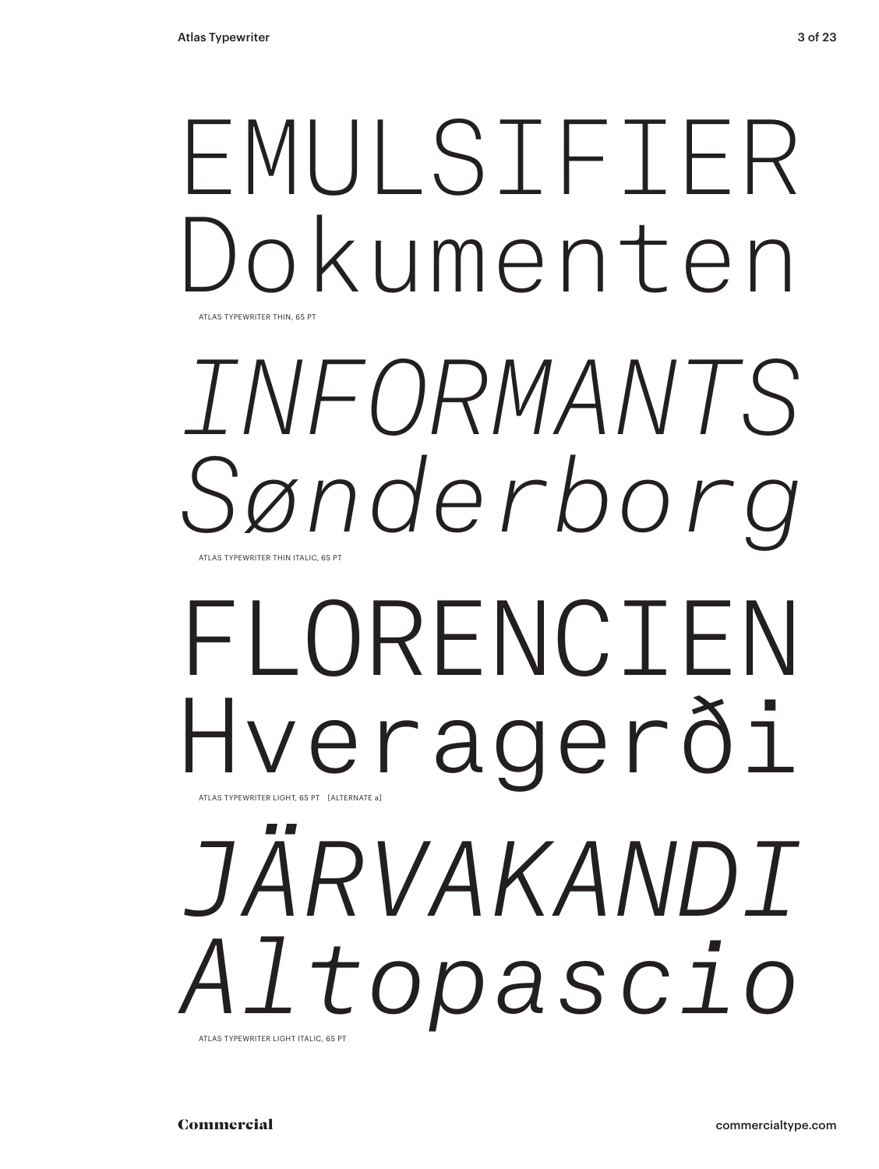## ATLAS TYPEWRITER THIN, 65 PT EMULSIFIER Dokumenten

## ATLAS TYPEWRITER THIN ITALIC, 65 PT *INFORMANTS Sønderborg*

## ATLAS TYPEWRITER LIGHT, 65 PT [ALTERNATE a] FLORENCIEN Hveragerði

## *JÄRVAKANDI Altopascio* ATLAS TYPEWRITER LIGHT ITALIC, 65 PT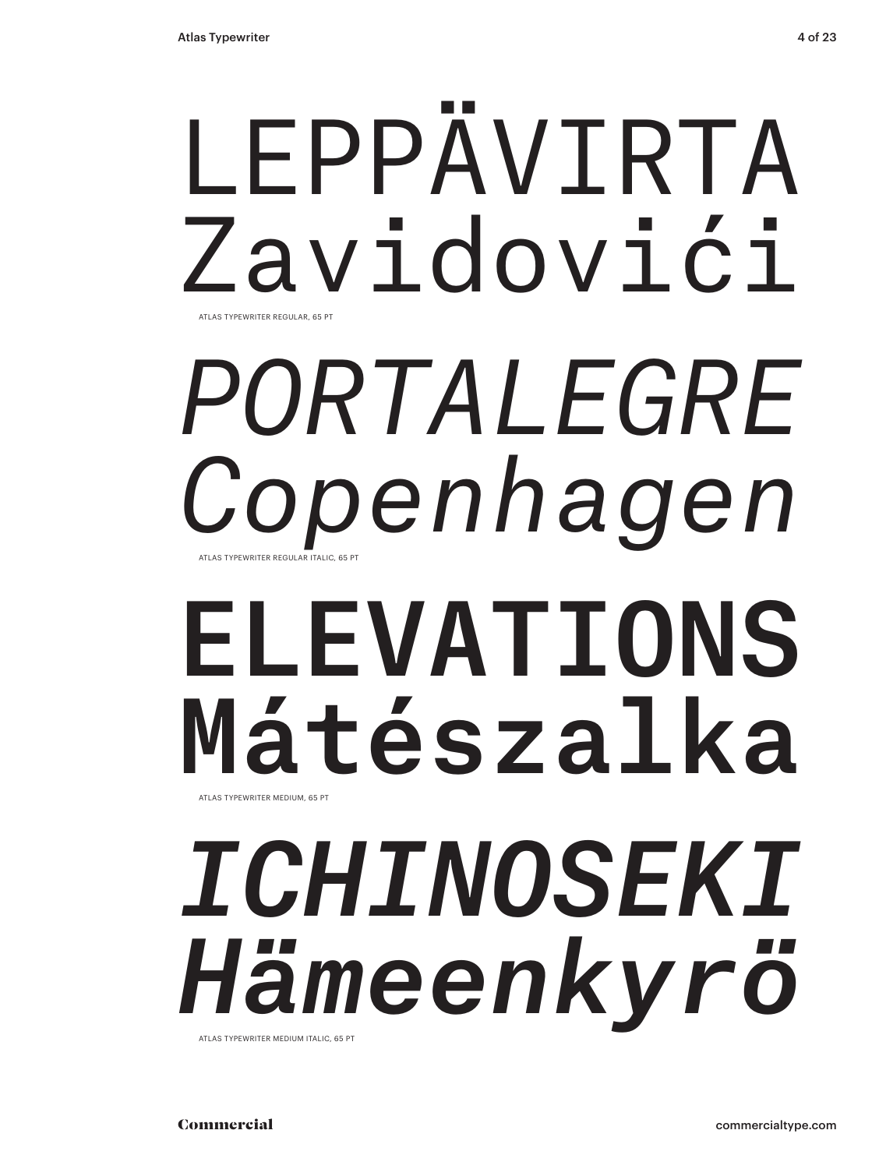## LEPPÄVIRTA Zavidovići ATLAS TYPEWRITER REGULAR, 65 PT

## *PORTALEGRE Copenhagen* ATLAS TYPEWRITER REGULAR ITALIC, 65 PT

## ELEVATIONS Mátészalka ATLAS TYPEWRITER MEDIUM, 65 PT

## *ICHINOSEKI Hämeenkyrö* ATLAS TYPEWRITER MEDIUM ITALIC, 65 PT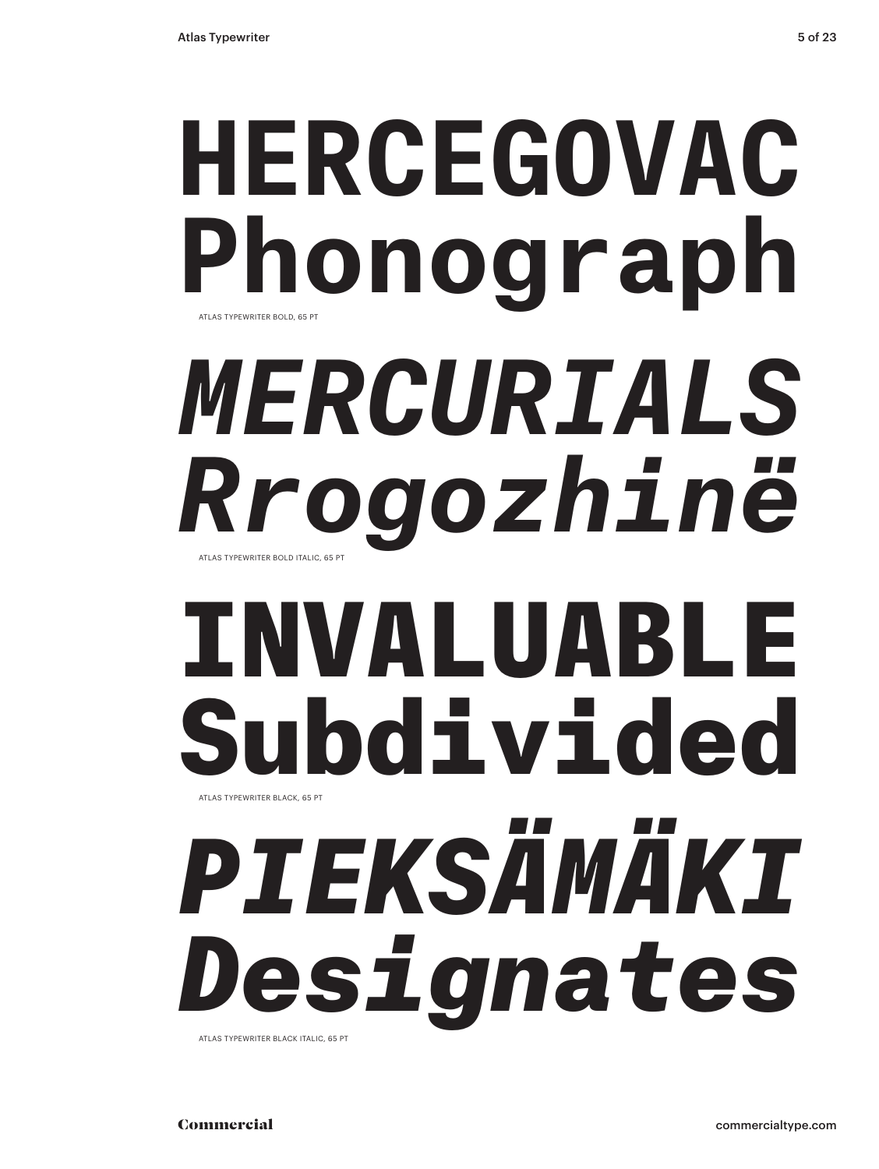# **HERCEGOVAC Phonograph** ATLAS TYPEWRITER BOLD, 65 PT *MERCURIALS Rrogozhinë*

ATLAS TYPEWRITER BOLD ITALIC, 65 PT

# INVALUABLE Subdivided ATLAS TYPEWRITER BLACK, 65 PT

*PIEKSÄMÄKI Designates* ATLAS TYPEWRITER BLACK ITALIC, 65 PT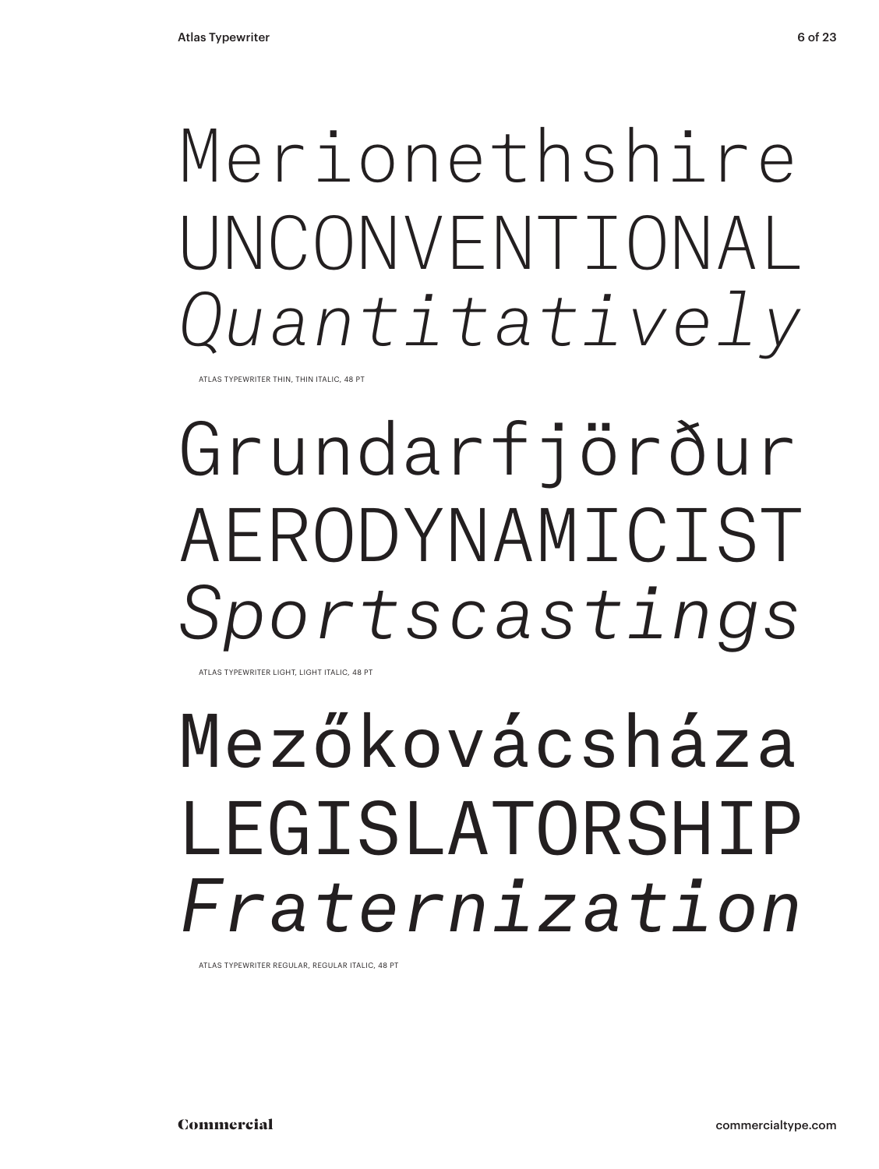## Merionethshire UNCONVENTIONAL *Quantitatively*

ATLAS TYPEWRITER THIN, THIN ITALIC, 48 PT

# Grundarfjörður AERODYNAMICIST *Sportscastings*

ATLAS TYPEWRITER LIGHT, LIGHT ITALIC, 48 PT

## Mezőkovácsháza LEGISLATORSHIP *Fraternization*

ATLAS TYPEWRITER REGULAR, REGULAR ITALIC, 48 PT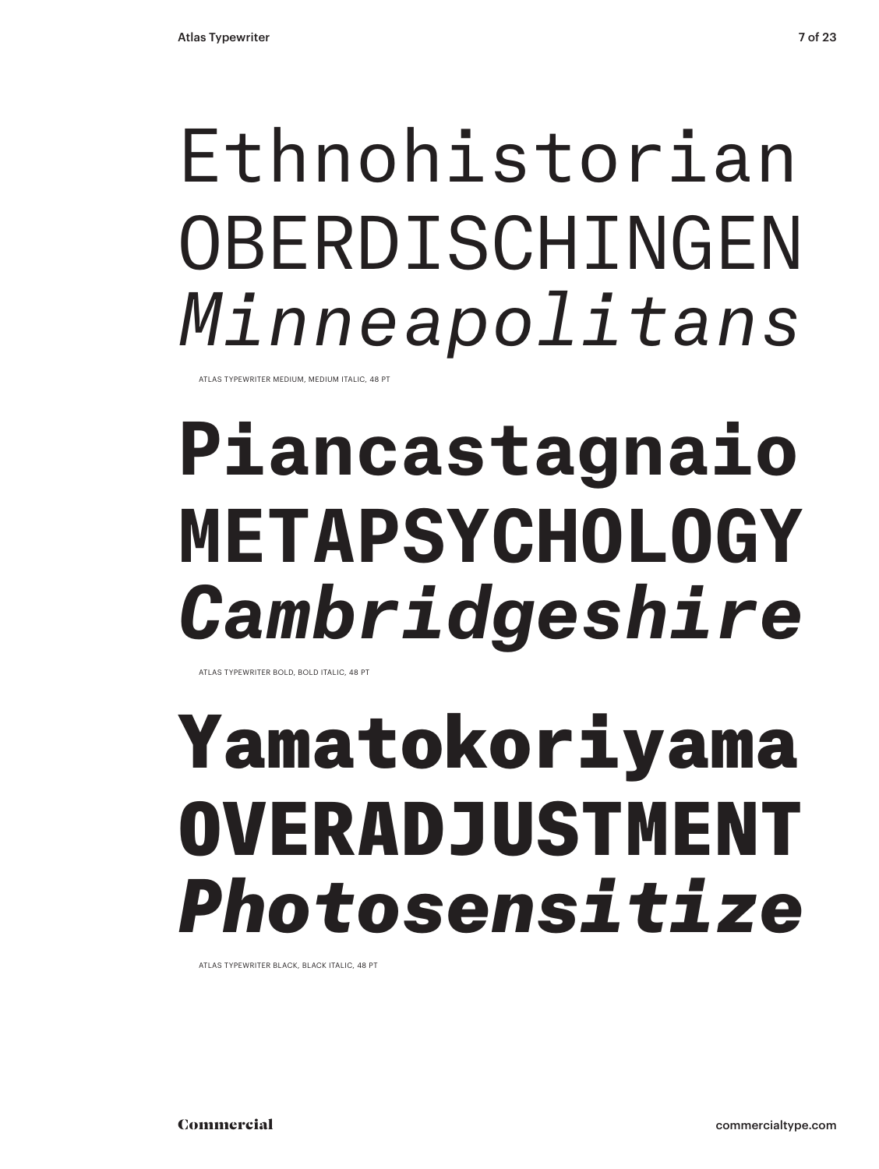## Ethnohistorian OBERDISCHINGEN *Minneapolitans*

ATLAS TYPEWRITER MEDIUM, MEDIUM ITALIC, 48 PT

# **Piancastagnaio METAPSYCHOLOGY** *Cambridgeshire*

ATLAS TYPEWRITER BOLD, BOLD ITALIC, 48 PT

## Yamatokoriyama OVERADJUSTMENT *Photosensitize*

ATLAS TYPEWRITER BLACK, BLACK ITALIC, 48 PT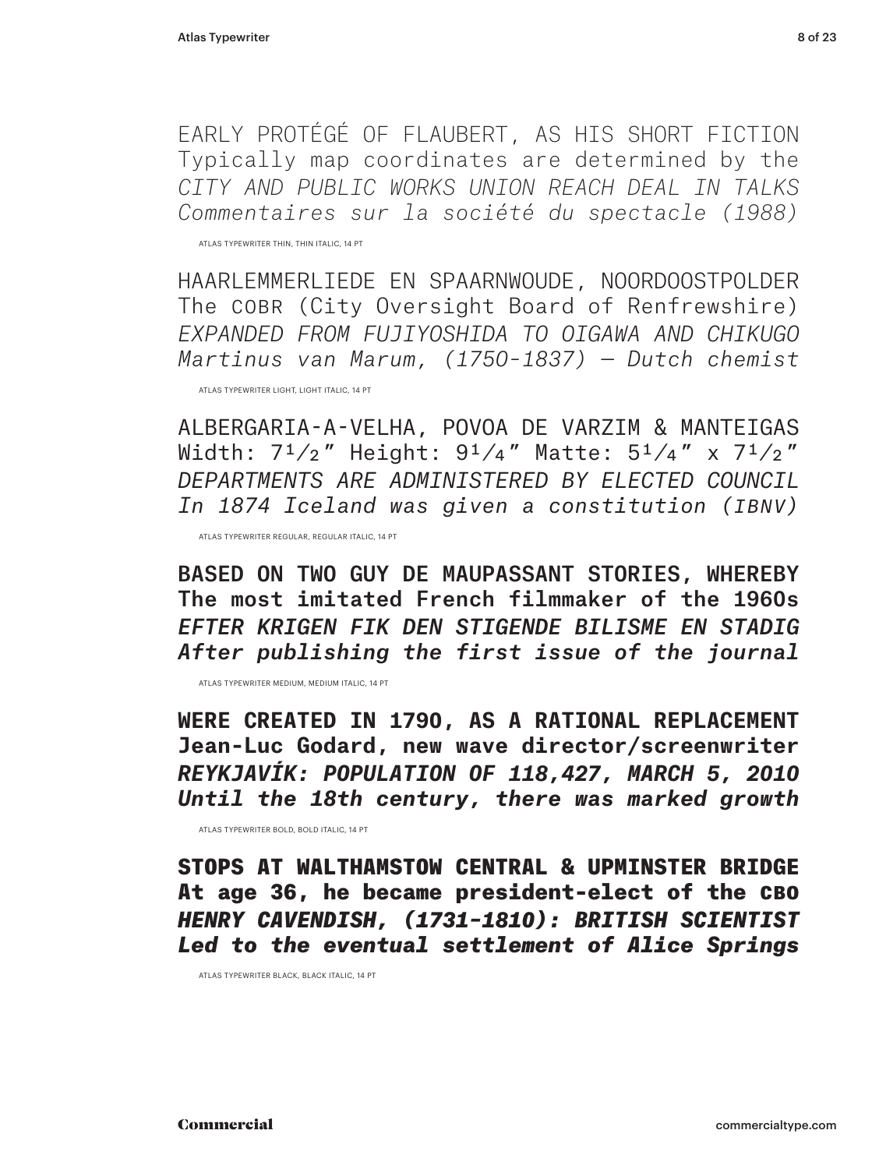EARLY PROTÉGÉ OF FLAUBERT, AS HIS SHORT FICTION Typically map coordinates are determined by the *CITY AND PUBLIC WORKS UNION REACH DEAL IN TALKS Commentaires sur la société du spectacle (1988)*

ATLAS TYPEWRITER THIN, THIN ITALIC, 14 PT

HAARLEMMERLIEDE EN SPAARNWOUDE, NOORDOOSTPOLDER The COBR (City Oversight Board of Renfrewshire) *EXPANDED FROM FUJIYOSHIDA TO OIGAWA AND CHIKUGO Martinus van Marum, (1750–1837) — Dutch chemist*

ATLAS TYPEWRITER LIGHT, LIGHT ITALIC, 14 PT

ALBERGARIA-A-VELHA, POVOA DE VARZIM & MANTEIGAS Width:  $7^{1}/2$ " Height:  $9^{1}/4$ " Matte:  $5^{1}/4$ " x  $7^{1}/2$ " *DEPARTMENTS ARE ADMINISTERED BY ELECTED COUNCIL In 1874 Iceland was given a constitution (Ibnv)*

ATLAS TYPEWRITER REGULAR, REGULAR ITALIC, 14 PT

BASED ON TWO GUY DE MAUPASSANT STORIES, WHEREBY The most imitated French filmmaker of the 1960s *EFTER KRIGEN FIK DEN STIGENDE BILISME EN STADIG After publishing the first issue of the journal* 

ATLAS TYPEWRITER MEDIUM, MEDIUM ITALIC, 14 PT

**WERE CREATED IN 1790, AS A RATIONAL REPLACEMENT Jean-Luc Godard, new wave director/screenwriter** *REYKJAVÍK: POPULATION OF 118,427, MARCH 5, 2010 Until the 18th century, there was marked growth*

ATLAS TYPEWRITER BOLD, BOLD ITALIC, 14 PT

STOPS AT WALTHAMSTOW CENTRAL & UPMINSTER BRIDGE At age 36, he became president-elect of the CBO *HENRY CAVENDISH, (1731–1810): BRITISH SCIENTIST Led to the eventual settlement of Alice Springs*

ATLAS TYPEWRITER BLACK, BLACK ITALIC, 14 PT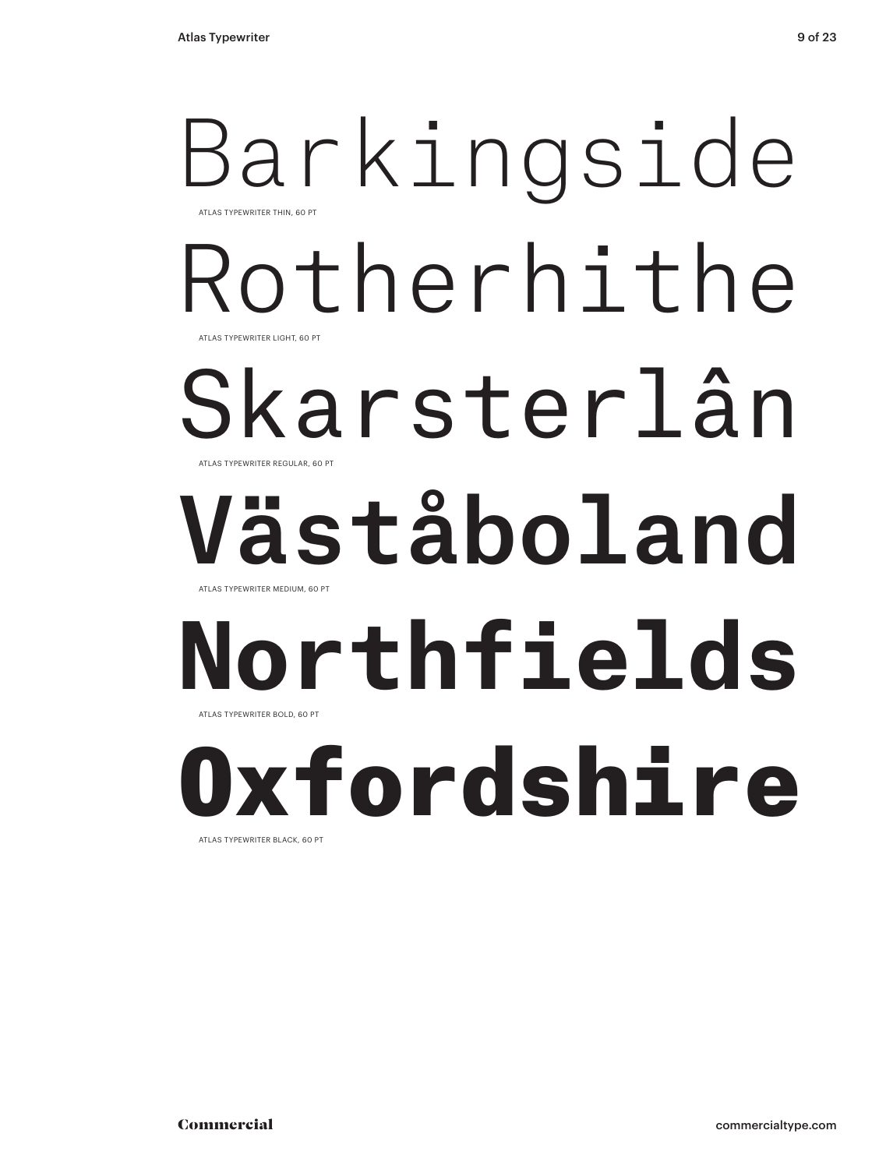## Barkingside Rotherhithe Skarsterlân Väståboland **Northfields** ATLAS TYPEWRITER THIN, 60 PT ATLAS TYPEWRITER REGULAR, 60 PT ATLAS TYPEWRITER LIGHT, 60 PT ATLAS TYPEWRITER MEDIUM, 60 PT ATLAS TYPEWRITER BOLD, 60 PT

Oxfordshire ATLAS TYPEWRITER BLACK, 60 PT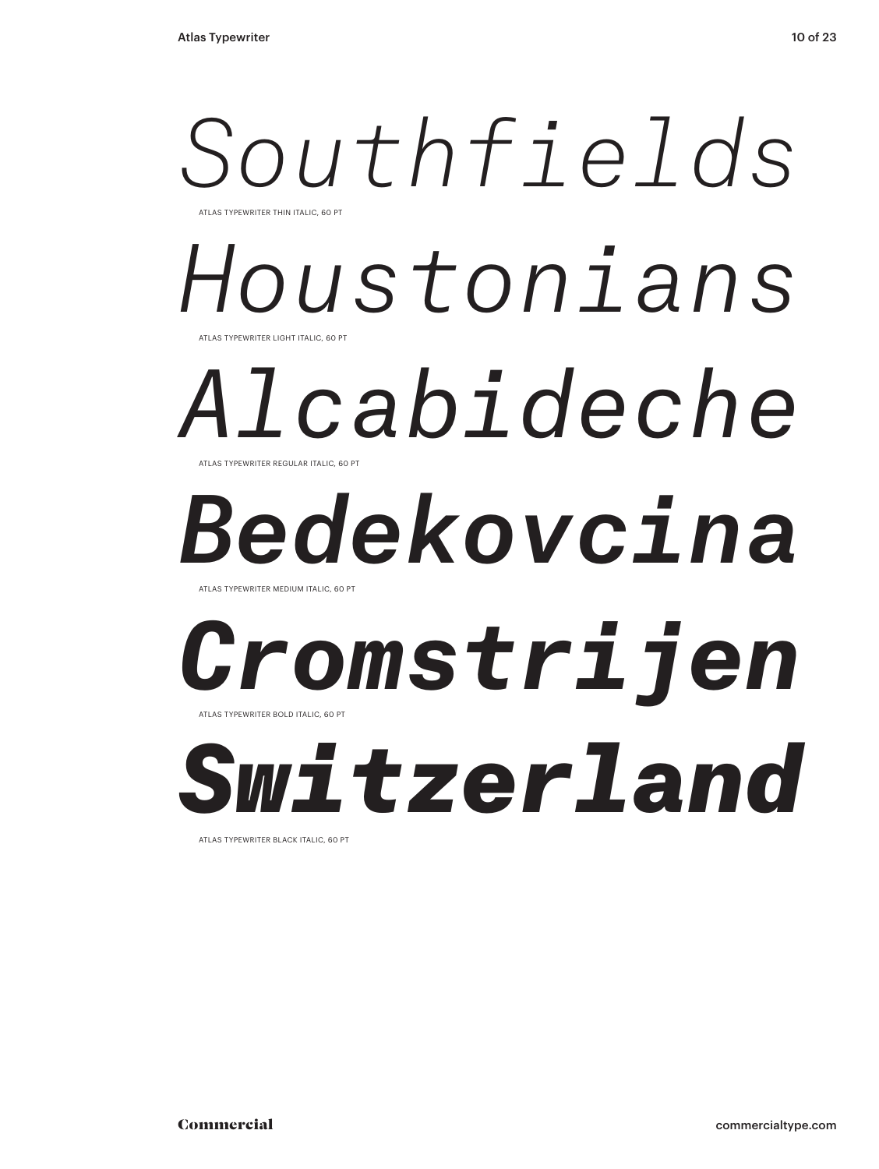## *Southfields Houstonians* ATLAS TYPEWRITER THIN ITALIC, 60 PT ATLAS TYPEWRITER LIGHT ITALIC, 60 PT

## *Alcabideche* ATLAS TYPEWRITER REGULAR ITALIC, 60 PT

# *Bedekovcina*

ATLAS TYPEWRITER MEDIUM ITALIC, 60 P

## *Cromstrijen* ATLAS TYPEWRITER BOLD ITALIC, 60 PT

*Switzerland*

ATLAS TYPEWRITER BLACK ITALIC, 60 PT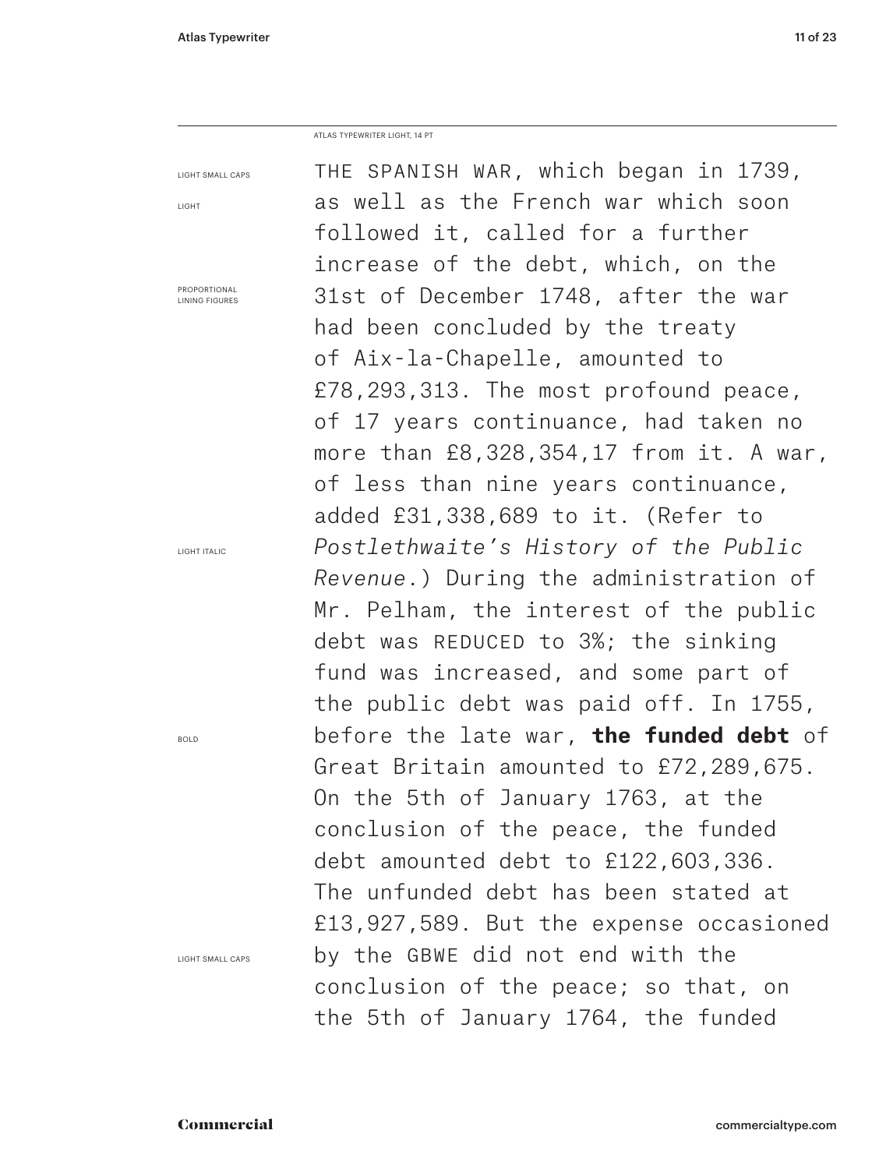ATLAS TYPEWRITER LIGHT, 14 PT

| <b>LIGHT SMALL CAPS</b>               | THE SPANISH WAR, which began in 1739,          |  |  |
|---------------------------------------|------------------------------------------------|--|--|
| LIGHT                                 | as well as the French war which soon           |  |  |
|                                       | followed it, called for a further              |  |  |
|                                       | increase of the debt, which, on the            |  |  |
| PROPORTIONAL<br><b>LINING FIGURES</b> | 31st of December 1748, after the war           |  |  |
|                                       | had been concluded by the treaty               |  |  |
|                                       | of Aix-la-Chapelle, amounted to                |  |  |
|                                       | £78,293,313. The most profound peace,          |  |  |
|                                       | of 17 years continuance, had taken no          |  |  |
|                                       | more than $£8,328,354,17$ from it. A war,      |  |  |
|                                       | of less than nine years continuance,           |  |  |
|                                       | added $£31,338,689$ to it. (Refer to           |  |  |
| LIGHT ITALIC                          | Postlethwaite's History of the Public          |  |  |
|                                       | Revenue.) During the administration of         |  |  |
|                                       | Mr. Pelham, the interest of the public         |  |  |
|                                       | debt was REDUCED to 3%; the sinking            |  |  |
|                                       | fund was increased, and some part of           |  |  |
|                                       | the public debt was paid off. In 1755,         |  |  |
| <b>BOLD</b>                           | before the late war, <b>the funded debt</b> of |  |  |
|                                       | Great Britain amounted to £72,289,675.         |  |  |
|                                       | On the 5th of January 1763, at the             |  |  |
|                                       | conclusion of the peace, the funded            |  |  |
|                                       | debt amounted debt to £122,603,336.            |  |  |
|                                       | The unfunded debt has been stated at           |  |  |
|                                       | £13,927,589. But the expense occasioned        |  |  |
| <b>LIGHT SMALL CAPS</b>               | by the GBWE did not end with the               |  |  |
|                                       | conclusion of the peace; so that, on           |  |  |
|                                       | the 5th of January 1764, the funded            |  |  |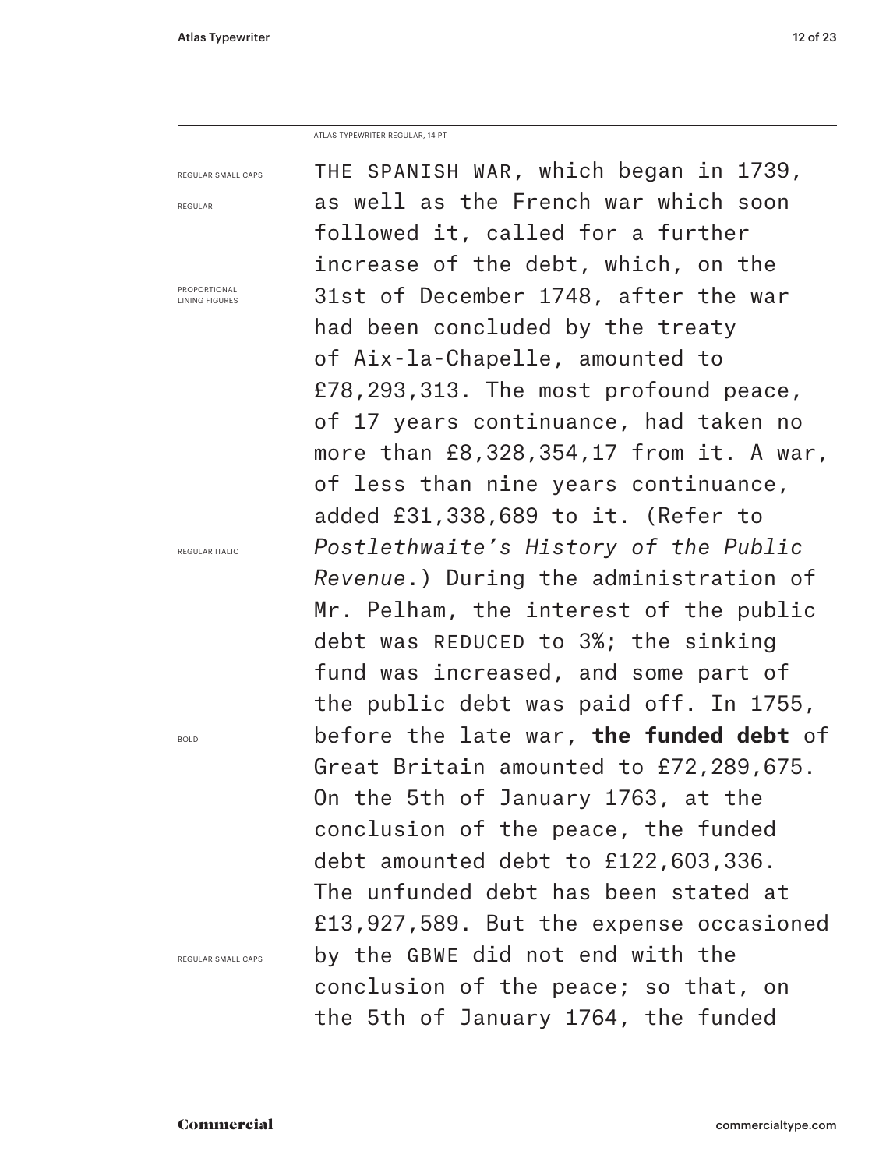ATLAS TYPEWRITER REGULAR, 14 PT

| REGULAR SMALL CAPS                    | THE SPANISH WAR, which began in 1739,                                     |  |  |
|---------------------------------------|---------------------------------------------------------------------------|--|--|
| REGULAR                               | as well as the French war which soon<br>followed it, called for a further |  |  |
|                                       |                                                                           |  |  |
|                                       | increase of the debt, which, on the                                       |  |  |
| PROPORTIONAL<br><b>LINING FIGURES</b> | 31st of December 1748, after the war<br>had been concluded by the treaty  |  |  |
|                                       |                                                                           |  |  |
|                                       | of Aix-la-Chapelle, amounted to                                           |  |  |
|                                       | £78,293,313. The most profound peace,                                     |  |  |
|                                       | of 17 years continuance, had taken no                                     |  |  |
|                                       | more than £8,328,354,17 from it. A war,                                   |  |  |
|                                       | of less than nine years continuance,                                      |  |  |
|                                       | added £31,338,689 to it. (Refer to                                        |  |  |
| REGULAR ITALIC                        | Postlethwaite's History of the Public                                     |  |  |
|                                       | Revenue.) During the administration of                                    |  |  |
|                                       | Mr. Pelham, the interest of the public                                    |  |  |
|                                       | debt was REDUCED to 3%; the sinking                                       |  |  |
|                                       | fund was increased, and some part of                                      |  |  |
|                                       | the public debt was paid off. In 1755,                                    |  |  |
| <b>BOLD</b>                           | before the late war, <b>the funded debt</b> of                            |  |  |
|                                       | Great Britain amounted to £72,289,675.                                    |  |  |
|                                       | On the 5th of January 1763, at the                                        |  |  |
| conclusion of the peace, the funded   |                                                                           |  |  |
|                                       | debt amounted debt to £122,603,336.                                       |  |  |
|                                       | The unfunded debt has been stated at                                      |  |  |
|                                       | £13,927,589. But the expense occasioned                                   |  |  |
| REGULAR SMALL CAPS                    | by the GBWE did not end with the                                          |  |  |
|                                       | conclusion of the peace; so that, on                                      |  |  |
|                                       | the 5th of January 1764, the funded                                       |  |  |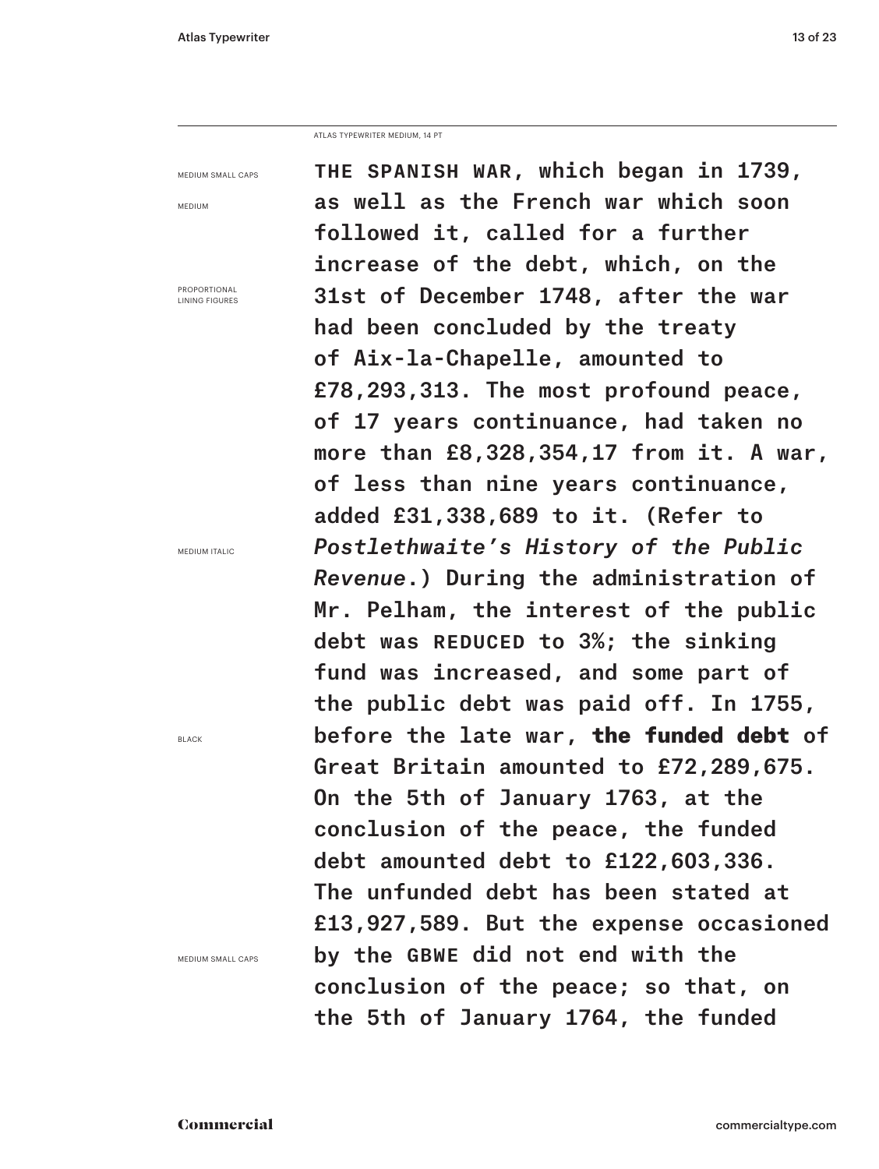ATLAS TYPEWRITER MEDIUM, 14 PT

MEDIUM SMALL CAPS

MEDIUM

PROPORTIONAL LINING FIGURES

MEDIUM ITALIC

BLACK

MEDIUM SMALL CAPS

The Spanish war, which began in 1739, as well as the French war which soon followed it, called for a further increase of the debt, which, on the 31st of December 1748, after the war had been concluded by the treaty of Aix‑la‑Chapelle, amounted to £78,293,313. The most profound peace, of 17 years continuance, had taken no more than £8,328,354,17 from it. A war, of less than nine years continuance, added £31,338,689 to it. (Refer to *Postlethwaite's History of the Public Revenue*.) During the administration of Mr. Pelham, the interest of the public debt was REDUCED to 3%; the sinking fund was increased, and some part of the public debt was paid off. In 1755, before the late war, the funded debt of Great Britain amounted to £72,289,675. On the 5th of January 1763, at the conclusion of the peace, the funded debt amounted debt to £122,603,336. The unfunded debt has been stated at £13,927,589. But the expense occasioned by the GBWE did not end with the conclusion of the peace; so that, on the 5th of January 1764, the funded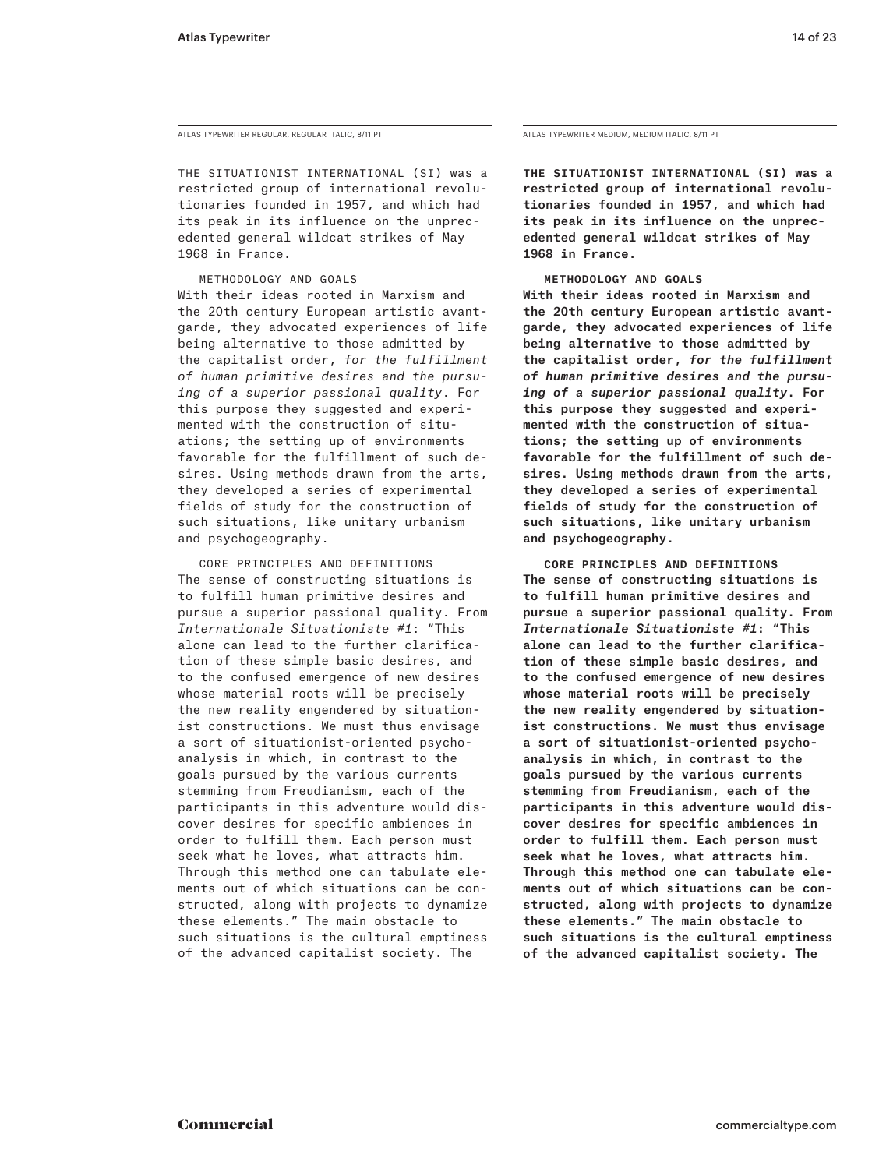ATLAS TYPEWRITER REGULAR, REGULAR ITALIC, 8/11 PT

The Situationist International (SI) was a restricted group of international revolutionaries founded in 1957, and which had its peak in its influence on the unprecedented general wildcat strikes of May 1968 in France.

Methodology and Goals With their ideas rooted in Marxism and the 20th century European artistic avantgarde, they advocated experiences of life being alternative to those admitted by the capitalist order, *for the fulfillment of human primitive desires and the pursuing of a superior passional quality*. For this purpose they suggested and experimented with the construction of situations; the setting up of environments favorable for the fulfillment of such desires. Using methods drawn from the arts, they developed a series of experimental fields of study for the construction of such situations, like unitary urbanism and psychogeography.

 Core Principles and Definitions The sense of constructing situations is to fulfill human primitive desires and pursue a superior passional quality. From *Internationale Situationiste #1*: "This alone can lead to the further clarification of these simple basic desires, and to the confused emergence of new desires whose material roots will be precisely the new reality engendered by situationist constructions. We must thus envisage a sort of situationist-oriented psychoanalysis in which, in contrast to the goals pursued by the various currents stemming from Freudianism, each of the participants in this adventure would discover desires for specific ambiences in order to fulfill them. Each person must seek what he loves, what attracts him. Through this method one can tabulate ele‑ ments out of which situations can be constructed, along with projects to dynamize these elements." The main obstacle to such situations is the cultural emptiness of the advanced capitalist society. The

ATLAS TYPEWRITER MEDIUM, MEDIUM ITALIC, 8/11 PT

The Situationist International (SI) was a restricted group of international revolutionaries founded in 1957, and which had its peak in its influence on the unprecedented general wildcat strikes of May 1968 in France.

Methodology and Goals

With their ideas rooted in Marxism and the 20th century European artistic avantgarde, they advocated experiences of life being alternative to those admitted by the capitalist order, *for the fulfillment of human primitive desires and the pursuing of a superior passional quality*. For this purpose they suggested and experimented with the construction of situations; the setting up of environments favorable for the fulfillment of such desires. Using methods drawn from the arts, they developed a series of experimental fields of study for the construction of such situations, like unitary urbanism and psychogeography.

 Core Principles and Definitions The sense of constructing situations is to fulfill human primitive desires and pursue a superior passional quality. From *Internationale Situationiste #1*: "This alone can lead to the further clarification of these simple basic desires, and to the confused emergence of new desires whose material roots will be precisely the new reality engendered by situationist constructions. We must thus envisage a sort of situationist-oriented psychoanalysis in which, in contrast to the goals pursued by the various currents stemming from Freudianism, each of the participants in this adventure would discover desires for specific ambiences in order to fulfill them. Each person must seek what he loves, what attracts him. Through this method one can tabulate ele‑ ments out of which situations can be constructed, along with projects to dynamize these elements." The main obstacle to such situations is the cultural emptiness of the advanced capitalist society. The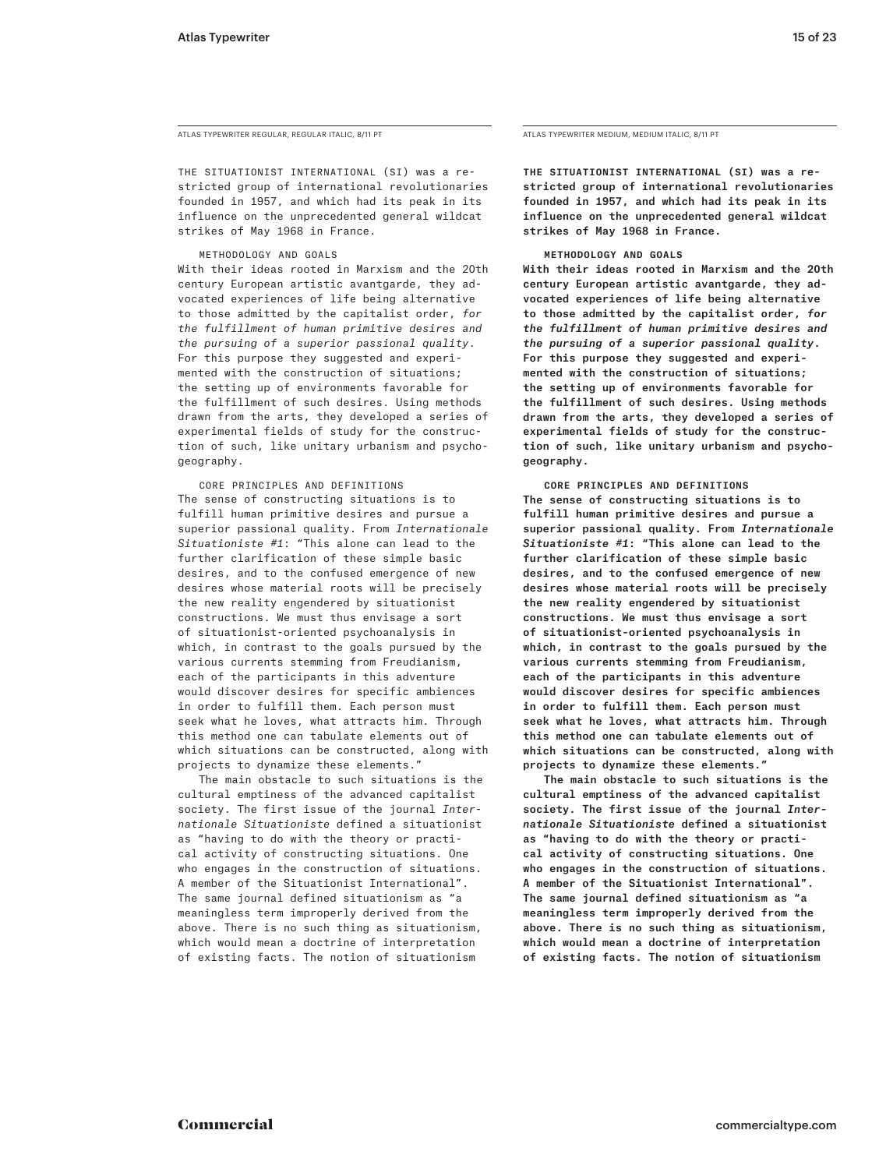ATLAS TYPEWRITER REGULAR, REGULAR ITALIC, 8/11 PT

THE SITUATIONIST INTERNATIONAL (SI) was a restricted group of international revolutionaries founded in 1957, and which had its peak in its influence on the unprecedented general wildcat strikes of May 1968 in France.

Methodology and Goals

With their ideas rooted in Marxism and the 20th century European artistic avantgarde, they advocated experiences of life being alternative to those admitted by the capitalist order, *for the fulfillment of human primitive desires and the pursuing of a superior passional quality*. For this purpose they suggested and experimented with the construction of situations; the setting up of environments favorable for the fulfillment of such desires. Using methods drawn from the arts, they developed a series of experimental fields of study for the construction of such, like unitary urbanism and psychogeography.

 Core Principles and Definitions The sense of constructing situations is to fulfill human primitive desires and pursue a superior passional quality. From *Internationale Situationiste #1*: "This alone can lead to the further clarification of these simple basic desires, and to the confused emergence of new desires whose material roots will be precisely the new reality engendered by situationist constructions. We must thus envisage a sort of situationist-oriented psychoanalysis in which, in contrast to the goals pursued by the various currents stemming from Freudianism, each of the participants in this adventure would discover desires for specific ambiences in order to fulfill them. Each person must seek what he loves, what attracts him. Through this method one can tabulate elements out of which situations can be constructed, along with projects to dynamize these elements."

The main obstacle to such situations is the cultural emptiness of the advanced capitalist society. The first issue of the journal *Internationale Situationiste* defined a situationist as "having to do with the theory or practical activity of constructing situations. One who engages in the construction of situations. A member of the Situationist International". The same journal defined situationism as "a meaningless term improperly derived from the above. There is no such thing as situationism, which would mean a doctrine of interpretation of existing facts. The notion of situationism

ATLAS TYPEWRITER MEDIUM, MEDIUM ITALIC, 8/11 PT

THE SITUATIONIST INTERNATIONAL (SI) was a restricted group of international revolutionaries founded in 1957, and which had its peak in its influence on the unprecedented general wildcat strikes of May 1968 in France.

## Methodology and Goals

With their ideas rooted in Marxism and the 20th century European artistic avantgarde, they advocated experiences of life being alternative to those admitted by the capitalist order, *for the fulfillment of human primitive desires and the pursuing of a superior passional quality*. For this purpose they suggested and experimented with the construction of situations; the setting up of environments favorable for the fulfillment of such desires. Using methods drawn from the arts, they developed a series of experimental fields of study for the construction of such, like unitary urbanism and psychogeography.

 Core Principles and Definitions The sense of constructing situations is to fulfill human primitive desires and pursue a superior passional quality. From *Internationale Situationiste #1*: "This alone can lead to the further clarification of these simple basic desires, and to the confused emergence of new desires whose material roots will be precisely the new reality engendered by situationist constructions. We must thus envisage a sort of situationist-oriented psychoanalysis in which, in contrast to the goals pursued by the various currents stemming from Freudianism, each of the participants in this adventure would discover desires for specific ambiences in order to fulfill them. Each person must seek what he loves, what attracts him. Through this method one can tabulate elements out of which situations can be constructed, along with projects to dynamize these elements."

The main obstacle to such situations is the cultural emptiness of the advanced capitalist society. The first issue of the journal *Internationale Situationiste* defined a situationist as "having to do with the theory or practical activity of constructing situations. One who engages in the construction of situations. A member of the Situationist International". The same journal defined situationism as "a meaningless term improperly derived from the above. There is no such thing as situationism, which would mean a doctrine of interpretation of existing facts. The notion of situationism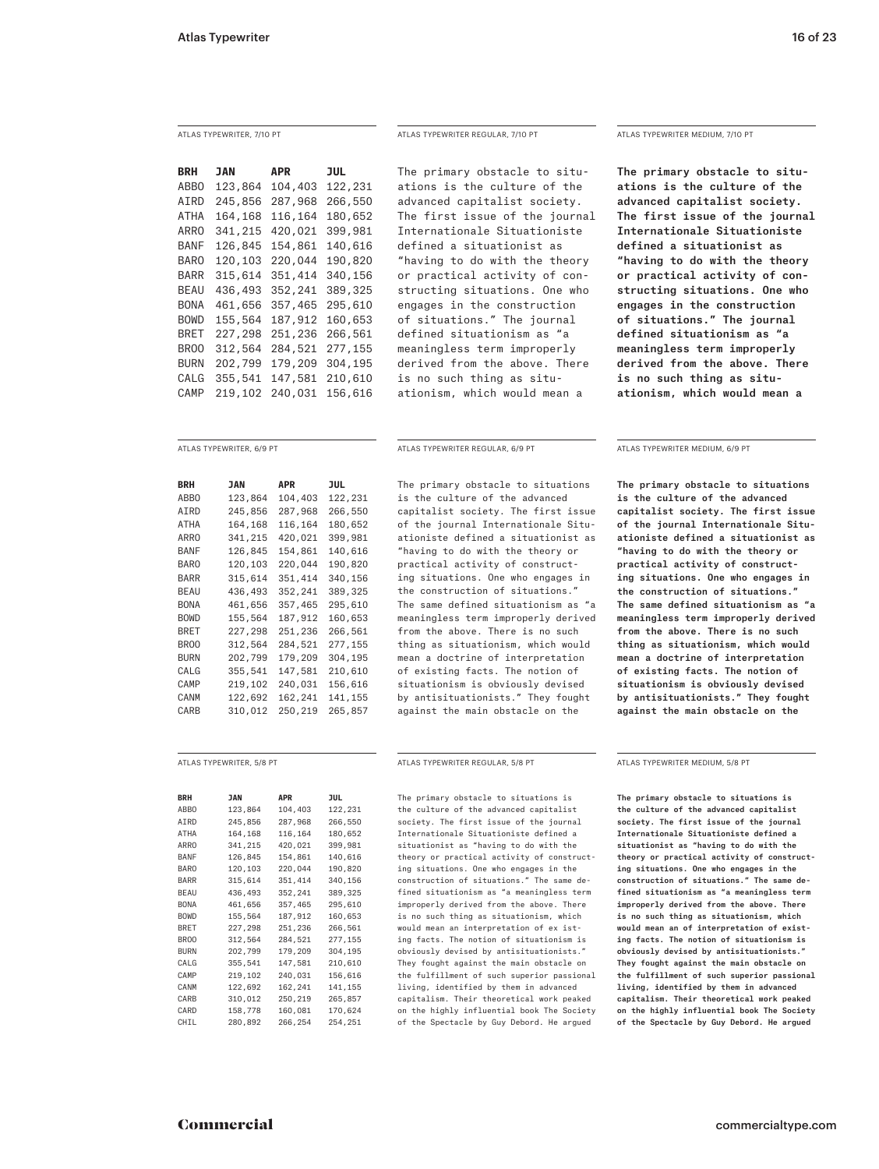**BRH JAN APR JUL** ABBO 123,864 104,403 122,231 AIRD 245,856 287,968 266,550 ATHA 164,168 116,164 180,652 ARRO 341,215 420,021 399,981 BANF 126,845 154,861 140,616 BARO 120,103 220,044 190,820 BARR 315,614 351,414 340,156 BEAU 436,493 352,241 389,325 BONA 461,656 357,465 295,610 BOWD 155,564 187,912 160,653 BRET 227,298 251,236 266,561 BROO 312,564 284,521 277,155 BURN 202,799 179,209 304,195 CALG 355,541 147,581 210,610 CAMP 219,102 240,031 156,616

| BRH         | JAN     | APR     | JUL     |
|-------------|---------|---------|---------|
| ABB0        | 123,864 | 104,403 | 122,231 |
| AIRD        | 245,856 | 287,968 | 266,550 |
| <b>ATHA</b> | 164,168 | 116.164 | 180,652 |
| ARRO        | 341,215 | 420.021 | 399,981 |
| BANF        | 126,845 | 154.861 | 140,616 |
| BARO        | 120.103 | 220.044 | 190.820 |
| BARR        | 315,614 | 351,414 | 340,156 |
| BEAU        | 436,493 | 352.241 | 389.325 |
| <b>BONA</b> | 461,656 | 357,465 | 295,610 |
| <b>BOWD</b> | 155.564 | 187.912 | 160.653 |
| BRET        | 227,298 | 251,236 | 266,561 |
| BR00        | 312,564 | 284.521 | 277,155 |
| BURN        | 202,799 | 179,209 | 304,195 |
| CALG        | 355.541 | 147.581 | 210,610 |
| CAMP        | 219,102 | 240,031 | 156,616 |
| CANM        | 122.692 | 162.241 | 141.155 |
| CARB        | 310,012 | 250,219 | 265,857 |

| <b>BRH</b>       | <b>JAN</b> | <b>APR</b> | <b>JUL</b> |
|------------------|------------|------------|------------|
| ABBO             | 123,864    | 104,403    | 122,231    |
| AIRD             | 245,856    | 287,968    | 266,550    |
| <b>ATHA</b>      | 164,168    | 116,164    | 180,652    |
| ARRO             | 341,215    | 420,021    | 399,981    |
| <b>BANF</b>      | 126,845    | 154,861    | 140,616    |
| BARO             | 120,103    | 220,044    | 190,820    |
| BARR             | 315,614    | 351,414    | 340,156    |
| <b>BEAU</b>      | 436,493    | 352,241    | 389,325    |
| <b>BONA</b>      | 461,656    | 357,465    | 295,610    |
| <b>BOWD</b>      | 155,564    | 187,912    | 160,653    |
| BRET             | 227.298    | 251,236    | 266,561    |
| BR <sub>00</sub> | 312,564    | 284,521    | 277,155    |
| <b>BURN</b>      | 202,799    | 179,209    | 304,195    |
| CALG             | 355,541    | 147,581    | 210,610    |
| CAMP             | 219,102    | 240,031    | 156,616    |
| CANM             | 122,692    | 162,241    | 141,155    |
| CARB             | 310,012    | 250,219    | 265,857    |
| CARD             | 158,778    | 160,081    | 170,624    |
| CHIL             | 280,892    | 266,254    | 254,251    |

The primary obstacle to situations is the culture of the advanced capitalist society. The first issue of the journal Internationale Situationiste defined a situationist as "having to do with the theory or practical activity of constructing situations. One who engages in the construction of situations." The journal defined situationism as "a meaningless term improperly derived from the above. There is no such thing as situationism, which would mean a

## ATLAS TYPEWRITER, 6/9 PT ATLAS TYPEWRITER REGULAR, 6/9 PT ATLAS TYPEWRITER MEDIUM, 6/9 PT

The primary obstacle to situations is the culture of the advanced capitalist society. The first issue of the journal Internationale Situationiste defined a situationist as "having to do with the theory or practical activity of constructing situations. One who engages in the construction of situations." The same defined situationism as "a meaningless term improperly derived from the above. There is no such thing as situationism, which would mean a doctrine of interpretation of existing facts. The notion of situationism is obviously devised by antisituationists." They fought against the main obstacle on the

## ATLAS TYPEWRITER, 7/10 PT ATLAS TYPEWRITER REGULAR, 7/10 PT ATLAS TYPEWRITER MEDIUM, 7/10 PT

The primary obstacle to situations is the culture of the advanced capitalist society. The first issue of the journal Internationale Situationiste defined a situationist as "having to do with the theory or practical activity of constructing situations. One who engages in the construction of situations." The journal defined situationism as "a meaningless term improperly derived from the above. There is no such thing as situationism, which would mean a

The primary obstacle to situations is the culture of the advanced capitalist society. The first issue of the journal Internationale Situationiste defined a situationist as "having to do with the theory or practical activity of constructing situations. One who engages in the construction of situations." The same defined situationism as "a meaningless term improperly derived from the above. There is no such thing as situationism, which would mean a doctrine of interpretation of existing facts. The notion of situationism is obviously devised by antisituationists." They fought against the main obstacle on the

The primary obstacle to situations is the culture of the advanced capitalist society. The first issue of the journal Internationale Situationiste defined a situationist as "having to do with the theory or practical activity of constructing situations. One who engages in the construction of situations." The same de‑ fined situationism as "a meaningless term improperly derived from the above. There is no such thing as situationism, which would mean an interpretation of ex isting facts. The notion of situationism is obviously devised by antisituationists." They fought against the main obstacle on the fulfillment of such superior passional living, identified by them in advanced capitalism. Their theoretical work peaked on the highly influential book The Society of the Spectacle by Guy Debord. He argued

ATLAS TYPEWRITER, 5/8 PT ATLAS TYPEWRITER REGULAR, 5/8 PT ATLAS TYPEWRITER MEDIUM, 5/8 PT

The primary obstacle to situations is the culture of the advanced capitalist society. The first issue of the journal Internationale Situationiste defined a situationist as "having to do with the theory or practical activity of construct‑ ing situations. One who engages in the construction of situations." The same de‑ fined situationism as "a meaningless term improperly derived from the above. There is no such thing as situationism, which would mean an of interpretation of existing facts. The notion of situationism is obviously devised by antisituationists." They fought against the main obstacle on the fulfillment of such superior passional living, identified by them in advanced capitalism. Their theoretical work peaked on the highly influential book The Society of the Spectacle by Guy Debord. He argued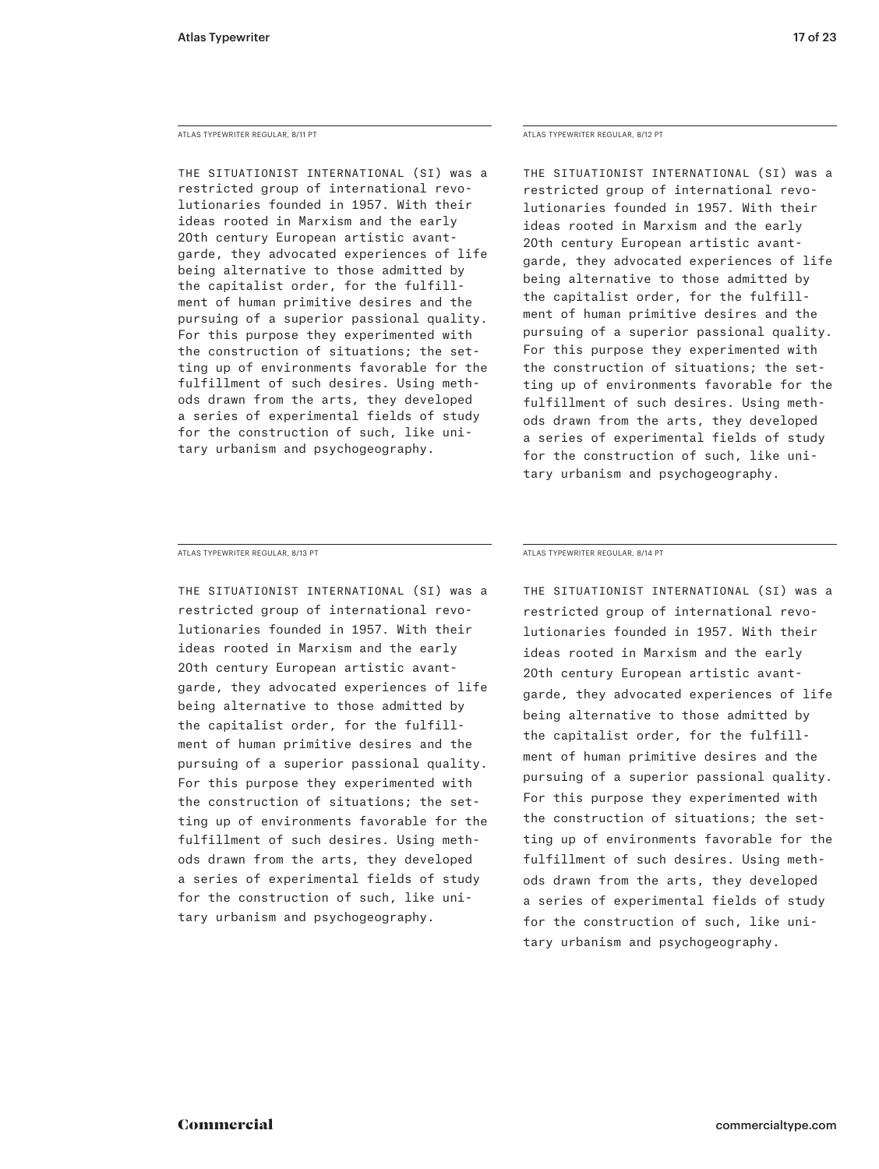## ATLAS TYPEWRITER REGULAR, 8/11 PT

The Situationist International (SI) was a restricted group of international revolutionaries founded in 1957. With their ideas rooted in Marxism and the early 20th century European artistic avantgarde, they advocated experiences of life being alternative to those admitted by the capitalist order, for the fulfillment of human primitive desires and the pursuing of a superior passional quality. For this purpose they experimented with the construction of situations; the setting up of environments favorable for the fulfillment of such desires. Using methods drawn from the arts, they developed a series of experimental fields of study for the construction of such, like unitary urbanism and psychogeography.

## ATLAS TYPEWRITER REGULAR, 8/12 PT

The Situationist International (SI) was a restricted group of international revolutionaries founded in 1957. With their ideas rooted in Marxism and the early 20th century European artistic avantgarde, they advocated experiences of life being alternative to those admitted by the capitalist order, for the fulfillment of human primitive desires and the pursuing of a superior passional quality. For this purpose they experimented with the construction of situations; the setting up of environments favorable for the fulfillment of such desires. Using methods drawn from the arts, they developed a series of experimental fields of study for the construction of such, like unitary urbanism and psychogeography.

ATLAS TYPEWRITER REGULAR, 8/13 PT

The Situationist International (SI) was a restricted group of international revolutionaries founded in 1957. With their ideas rooted in Marxism and the early 20th century European artistic avantgarde, they advocated experiences of life being alternative to those admitted by the capitalist order, for the fulfillment of human primitive desires and the pursuing of a superior passional quality. For this purpose they experimented with the construction of situations; the set‑ ting up of environments favorable for the fulfillment of such desires. Using methods drawn from the arts, they developed a series of experimental fields of study for the construction of such, like unitary urbanism and psychogeography.

ATLAS TYPEWRITER REGULAR, 8/14 PT

The Situationist International (SI) was a restricted group of international revolutionaries founded in 1957. With their ideas rooted in Marxism and the early 20th century European artistic avantgarde, they advocated experiences of life being alternative to those admitted by the capitalist order, for the fulfillment of human primitive desires and the pursuing of a superior passional quality. For this purpose they experimented with the construction of situations; the setting up of environments favorable for the fulfillment of such desires. Using methods drawn from the arts, they developed a series of experimental fields of study for the construction of such, like unitary urbanism and psychogeography.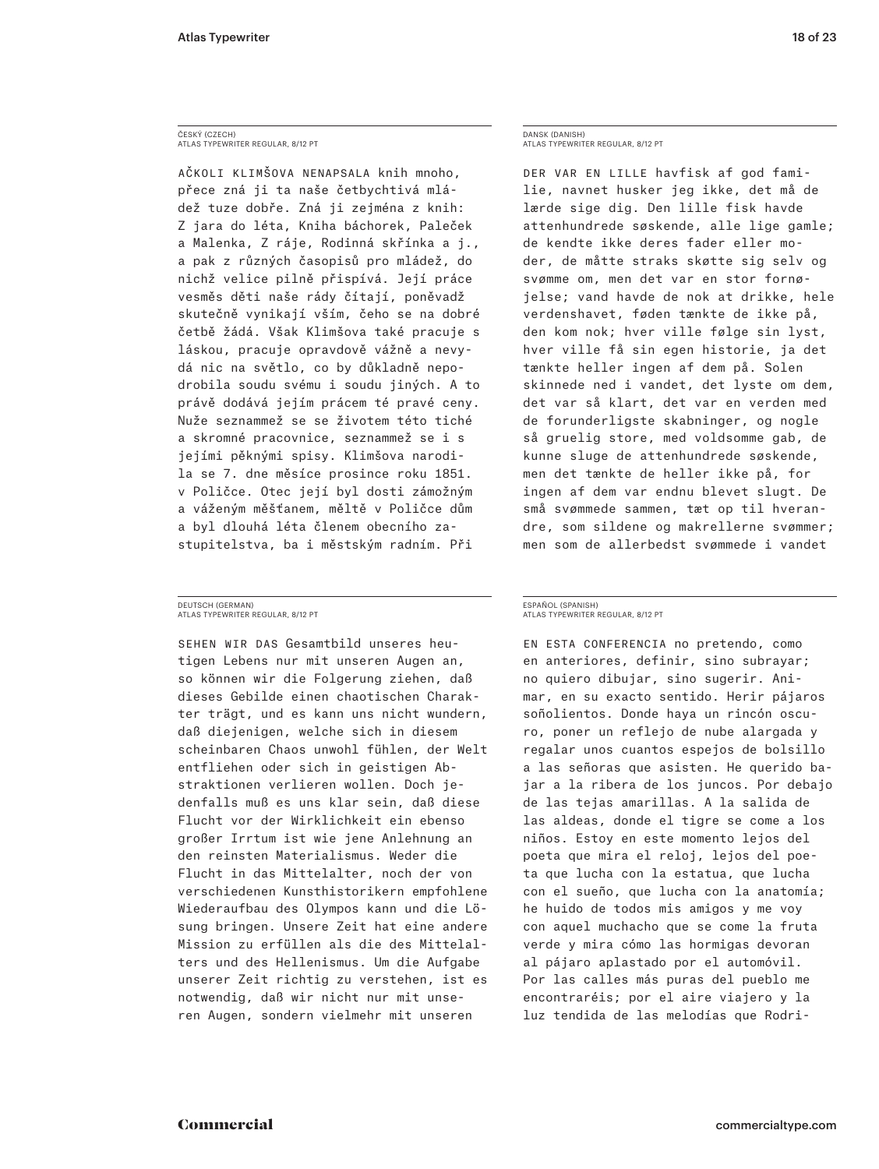## ČESKÝ (CZECH) ATLAS TYPEWRITER REGULAR, 8/12 PT

Ačkoli Klimšova nenapsala knih mnoho, přece zná ji ta naše četbychtivá mládež tuze dobře. Zná ji zejména z knih: Z jara do léta, Kniha báchorek, Paleček a Malenka, Z ráje, Rodinná skřínka a j., a pak z různých časopisů pro mládež, do nichž velice pilně přispívá. Její práce vesměs děti naše rády čítají, poněvadž skutečně vynikají vším, čeho se na dobré četbě žádá. Však Klimšova také pracuje s láskou, pracuje opravdově vážně a nevy‑ dá nic na světlo, co by důkladně nepodrobila soudu svému i soudu jiných. A to právě dodává jejím prácem té pravé ceny. Nuže seznammež se se životem této tiché a skromné pracovnice, seznammež se i s jejími pěknými spisy. Klimšova narodila se 7. dne měsíce prosince roku 1851. v Poličce. Otec její byl dosti zámožným a váženým měšťanem, měltě v Poličce dům a byl dlouhá léta členem obecního zastupitelstva, ba i městským radním. Při

## DEUTSCH (GERMAN) ATLAS TYPEWRITER REGULAR, 8/12 PT

SEHEN WIR DAS Gesamtbild unseres heutigen Lebens nur mit unseren Augen an, so können wir die Folgerung ziehen, daß dieses Gebilde einen chaotischen Charak‑ ter trägt, und es kann uns nicht wundern, daß diejenigen, welche sich in diesem scheinbaren Chaos unwohl fühlen, der Welt entfliehen oder sich in geistigen Ab‑ straktionen verlieren wollen. Doch jedenfalls muß es uns klar sein, daß diese Flucht vor der Wirklichkeit ein ebenso großer Irrtum ist wie jene Anlehnung an den reinsten Materialismus. Weder die Flucht in das Mittelalter, noch der von verschiedenen Kunsthistorikern empfohlene Wiederaufbau des Olympos kann und die Lösung bringen. Unsere Zeit hat eine andere Mission zu erfüllen als die des Mittelal‑ ters und des Hellenismus. Um die Aufgabe unserer Zeit richtig zu verstehen, ist es notwendig, daß wir nicht nur mit unse‑ ren Augen, sondern vielmehr mit unseren

## DANSK (DANISH) ATLAS TYPEWRITER REGULAR, 8/12 PT

DER VAR EN LILLE havfisk af god familie, navnet husker jeg ikke, det må de lærde sige dig. Den lille fisk havde attenhundrede søskende, alle lige gamle; de kendte ikke deres fader eller mo‑ der, de måtte straks skøtte sig selv og svømme om, men det var en stor fornøjelse; vand havde de nok at drikke, hele verdenshavet, føden tænkte de ikke på, den kom nok; hver ville følge sin lyst, hver ville få sin egen historie, ja det tænkte heller ingen af dem på. Solen skinnede ned i vandet, det lyste om dem, det var så klart, det var en verden med de forunderligste skabninger, og nogle så gruelig store, med voldsomme gab, de kunne sluge de attenhundrede søskende, men det tænkte de heller ikke på, for ingen af dem var endnu blevet slugt. De små svømmede sammen, tæt op til hverandre, som sildene og makrellerne svømmer; men som de allerbedst svømmede i vandet

## ESPAÑOL (SPANISH) ATLAS TYPEWRITER REGULAR, 8/12 PT

En esta conferencia no pretendo, como en anteriores, definir, sino subrayar; no quiero dibujar, sino sugerir. Animar, en su exacto sentido. Herir pájaros soñolientos. Donde haya un rincón oscuro, poner un reflejo de nube alargada y regalar unos cuantos espejos de bolsillo a las señoras que asisten. He querido bajar a la ribera de los juncos. Por debajo de las tejas amarillas. A la salida de las aldeas, donde el tigre se come a los niños. Estoy en este momento lejos del poeta que mira el reloj, lejos del poe‑ ta que lucha con la estatua, que lucha con el sueño, que lucha con la anatomía; he huido de todos mis amigos y me voy con aquel muchacho que se come la fruta verde y mira cómo las hormigas devoran al pájaro aplastado por el automóvil. Por las calles más puras del pueblo me encontraréis; por el aire viajero y la luz tendida de las melodías que Rodri-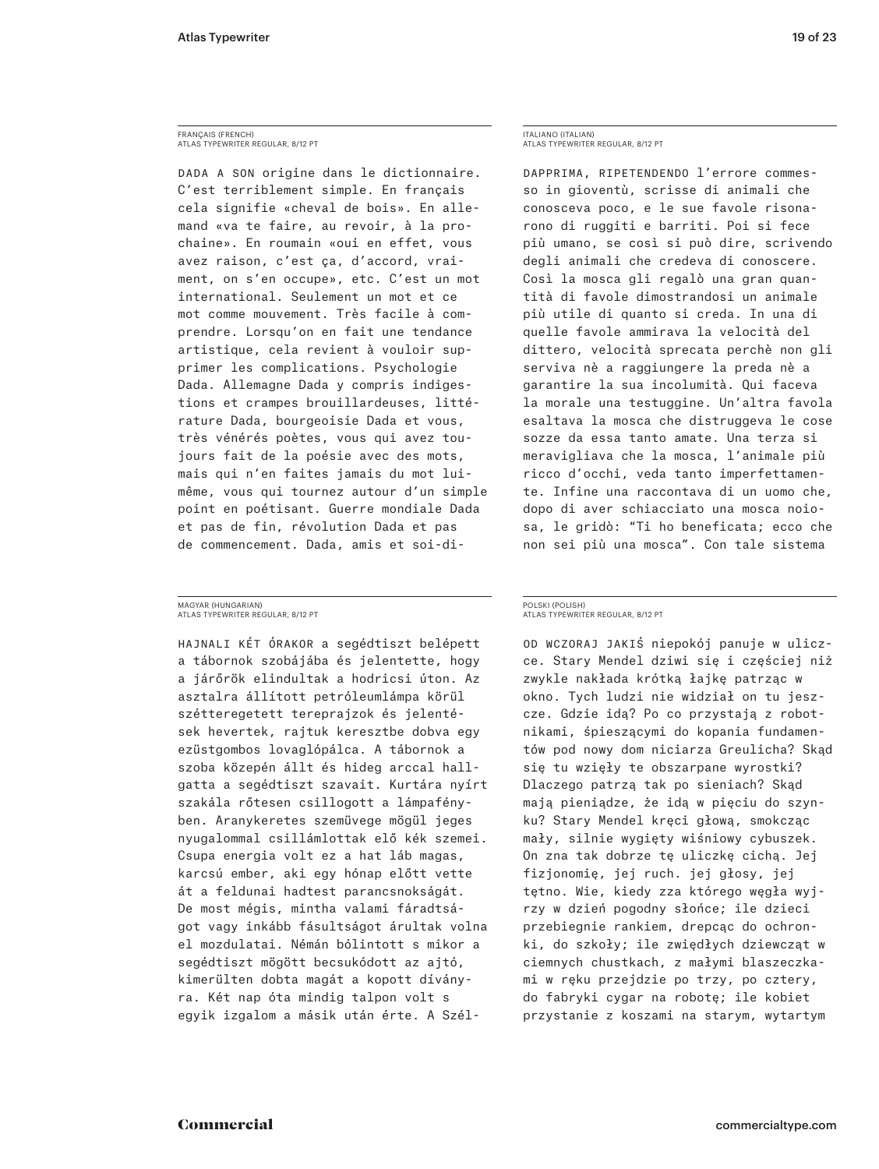## FRANÇAIS (FRENCH) ATLAS TYPEWRITER REGULAR, 8/12 PT

DADA A SON origine dans le dictionnaire. C'est terriblement simple. En français cela signifie « cheval de bois ». En alle‑ mand « va te faire, au revoir, à la pro‑ chaine ». En roumain « oui en effet, vous avez raison, c'est ça, d'accord, vraiment, on s'en occupe», etc. C'est un mot international. Seulement un mot et ce mot comme mouvement. Très facile à comprendre. Lorsqu'on en fait une tendance artistique, cela revient à vouloir supprimer les complications. Psychologie Dada. Allemagne Dada y compris indigestions et crampes brouillardeuses, littérature Dada, bourgeoisie Dada et vous, très vénérés poètes, vous qui avez tou‑ jours fait de la poésie avec des mots, mais qui n'en faites jamais du mot luimême, vous qui tournez autour d'un simple point en poétisant. Guerre mondiale Dada et pas de fin, révolution Dada et pas de commencement. Dada, amis et soi-di‑

## MAGYAR (HUNGARIAN) ATLAS TYPEWRITER REGULAR, 8/12 PT

Hajnali két órakor a segédtiszt belépett a tábornok szobájába és jelentette, hogy a járőrök elindultak a hodricsi úton. Az asztalra állított petróleumlámpa körül szétteregetett tereprajzok és jelenté‑ sek hevertek, rajtuk keresztbe dobva egy ezüstgombos lovaglópálca. A tábornok a szoba közepén állt és hideg arccal hallgatta a segédtiszt szavait. Kurtára nyírt szakála rőtesen csillogott a lámpafényben. Aranykeretes szemüvege mögül jeges nyugalommal csillámlottak elő kék szemei. Csupa energia volt ez a hat láb magas, karcsú ember, aki egy hónap előtt vette át a feldunai hadtest parancsnokságát. De most mégis, mintha valami fáradtságot vagy inkább fásultságot árultak volna el mozdulatai. Némán bólintott s mikor a segédtiszt mögött becsukódott az ajtó, kimerülten dobta magát a kopott dívány‑ ra. Két nap óta mindig talpon volt s egyik izgalom a másik után érte. A Szél-

## ITALIANO (ITALIAN) ATLAS TYPEWRITER REGULAR, 8/12 PT

DAPPRIMA, RIPETENDENDO l'errore commesso in gioventù, scrisse di animali che conosceva poco, e le sue favole risona‑ rono di ruggiti e barriti. Poi si fece più umano, se così si può dire, scrivendo degli animali che credeva di conoscere. Così la mosca gli regalò una gran quantità di favole dimostrandosi un animale più utile di quanto si creda. In una di quelle favole ammirava la velocità del dittero, velocità sprecata perchè non gli serviva nè a raggiungere la preda nè a garantire la sua incolumità. Qui faceva la morale una testuggine. Un'altra favola esaltava la mosca che distruggeva le cose sozze da essa tanto amate. Una terza si meravigliava che la mosca, l'animale più ricco d'occhi, veda tanto imperfettamen‑ te. Infine una raccontava di un uomo che, dopo di aver schiacciato una mosca noio‑ sa, le gridò: "Ti ho beneficata; ecco che non sei più una mosca". Con tale sistema

## POLSKI (POLISH) ATLAS TYPEWRITER REGULAR, 8/12 PT

Od wczoraj jakiś niepokój panuje w ulicz‑ ce. Stary Mendel dziwi się i częściej niż zwykle nakłada krótką łajkę patrząc w okno. Tych ludzi nie widział on tu jeszcze. Gdzie idą? Po co przystają z robotnikami, śpieszącymi do kopania fundamen‑ tów pod nowy dom niciarza Greulicha? Skąd się tu wzięły te obszarpane wyrostki? Dlaczego patrzą tak po sieniach? Skąd mają pieniądze, że idą w pięciu do szyn‑ ku? Stary Mendel kręci głową, smokcząc mały, silnie wygięty wiśniowy cybuszek. On zna tak dobrze tę uliczkę cichą. Jej fizjonomię, jej ruch. jej głosy, jej tętno. Wie, kiedy zza którego węgła wyj‑ rzy w dzień pogodny słońce; ile dzieci przebiegnie rankiem, drepcąc do ochronki, do szkoły; ile zwiędłych dziewcząt w ciemnych chustkach, z małymi blaszeczkami w ręku przejdzie po trzy, po cztery, do fabryki cygar na robotę; ile kobiet przystanie z koszami na starym, wytartym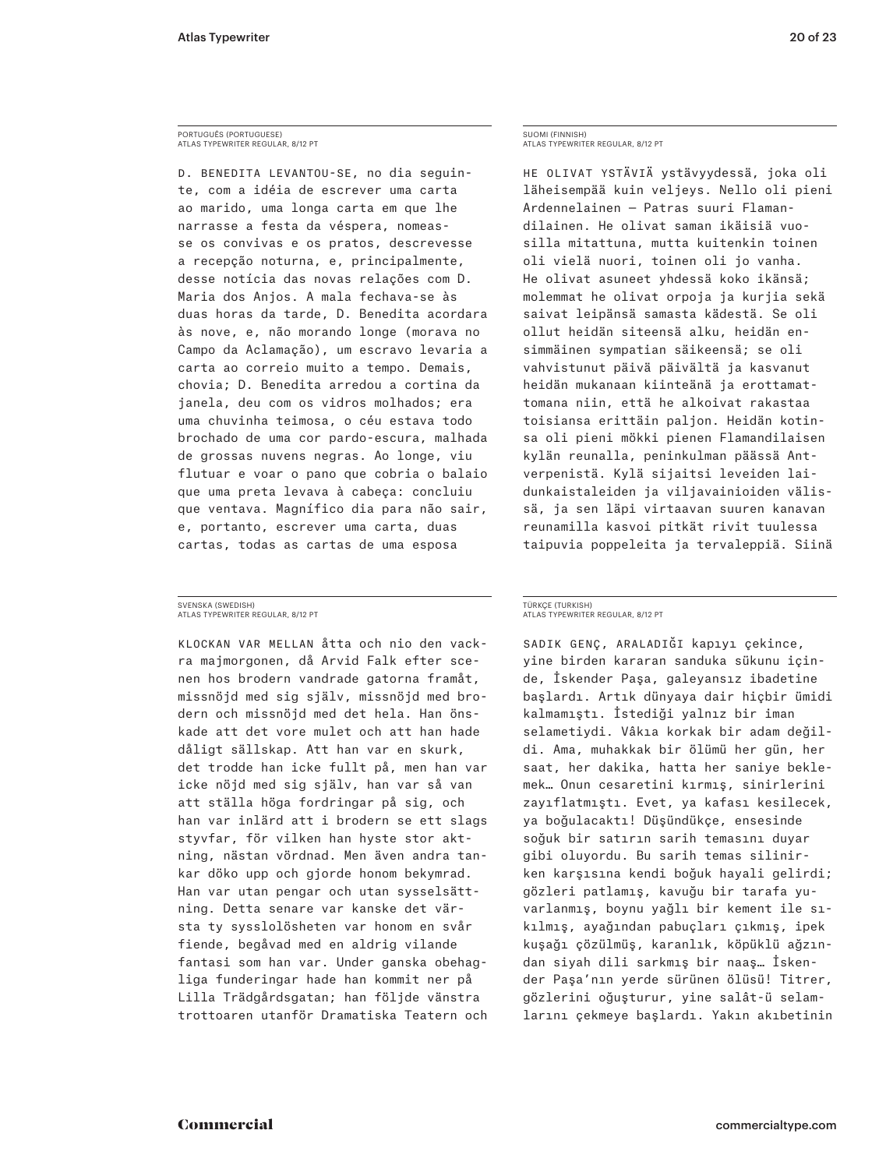## PORTUGUÊS (PORTUGUESE) ATLAS TYPEWRITER REGULAR, 8/12 PT

D. BENEDITA LEVANTOU-SE, no dia seguinte, com a idéia de escrever uma carta ao marido, uma longa carta em que lhe narrasse a festa da véspera, nomeasse os convivas e os pratos, descrevesse a recepção noturna, e, principalmente, desse notícia das novas relações com D. Maria dos Anjos. A mala fechava-se às duas horas da tarde, D. Benedita acordara às nove, e, não morando longe (morava no Campo da Aclamação), um escravo levaria a carta ao correio muito a tempo. Demais, chovia; D. Benedita arredou a cortina da janela, deu com os vidros molhados; era uma chuvinha teimosa, o céu estava todo brochado de uma cor pardo-escura, malhada de grossas nuvens negras. Ao longe, viu flutuar e voar o pano que cobria o balaio que uma preta levava à cabeça: concluiu que ventava. Magnífico dia para não sair, e, portanto, escrever uma carta, duas cartas, todas as cartas de uma esposa

## SVENSKA (SWEDISH) ATLAS TYPEWRITER REGULAR, 8/12 PT

Klockan var mellan åtta och nio den vack‑ ra majmorgonen, då Arvid Falk efter sce‑ nen hos brodern vandrade gatorna framåt, missnöjd med sig själv, missnöjd med bro‑ dern och missnöjd med det hela. Han önskade att det vore mulet och att han hade dåligt sällskap. Att han var en skurk, det trodde han icke fullt på, men han var icke nöjd med sig själv, han var så van att ställa höga fordringar på sig, och han var inlärd att i brodern se ett slags styvfar, för vilken han hyste stor akt‑ ning, nästan vördnad. Men även andra tan‑ kar döko upp och gjorde honom bekymrad. Han var utan pengar och utan sysselsättning. Detta senare var kanske det värsta ty sysslolösheten var honom en svår fiende, begåvad med en aldrig vilande fantasi som han var. Under ganska obehagliga funderingar hade han kommit ner på Lilla Trädgårdsgatan; han följde vänstra trottoaren utanför Dramatiska Teatern och

## SUOMI (FINNISH) ATLAS TYPEWRITER REGULAR, 8/12 PT

HE OLIVAT YSTÄVIÄ ystävyydessä, joka oli läheisempää kuin veljeys. Nello oli pieni Ardennelainen — Patras suuri Flaman‑ dilainen. He olivat saman ikäisiä vuo‑ silla mitattuna, mutta kuitenkin toinen oli vielä nuori, toinen oli jo vanha. He olivat asuneet yhdessä koko ikänsä; molemmat he olivat orpoja ja kurjia sekä saivat leipänsä samasta kädestä. Se oli ollut heidän siteensä alku, heidän en‑ simmäinen sympatian säikeensä; se oli vahvistunut päivä päivältä ja kasvanut heidän mukanaan kiinteänä ja erottamat‑ tomana niin, että he alkoivat rakastaa toisiansa erittäin paljon. Heidän kotin‑ sa oli pieni mökki pienen Flamandilaisen kylän reunalla, peninkulman päässä Ant‑ verpenistä. Kylä sijaitsi leveiden lai‑ dunkaistaleiden ja viljavainioiden välis‑ sä, ja sen läpi virtaavan suuren kanavan reunamilla kasvoi pitkät rivit tuulessa taipuvia poppeleita ja tervaleppiä. Siinä

## TÜRKÇE (TURKISH) ATLAS TYPEWRITER REGULAR, 8/12 PT

Sadık genç, araladığı kapıyı çekince, yine birden kararan sanduka sükunu için‑ de, İskender Paşa, galeyansız ibadetine başlardı. Artık dünyaya dair hiçbir ümidi kalmamıştı. İstediği yalnız bir iman selametiydi. Vâkıa korkak bir adam değildi. Ama, muhakkak bir ölümü her gün, her saat, her dakika, hatta her saniye beklemek… Onun cesaretini kırmış, sinirlerini zayıflatmıştı. Evet, ya kafası kesilecek, ya boğulacaktı! Düşündükçe, ensesinde soğuk bir satırın sarih temasını duyar gibi oluyordu. Bu sarih temas silinirken karşısına kendi boğuk hayali gelirdi; gözleri patlamış, kavuğu bir tarafa yu‑ varlanmış, boynu yağlı bir kement ile sı‑ kılmış, ayağından pabuçları çıkmış, ipek kuşağı çözülmüş, karanlık, köpüklü ağzın‑ dan siyah dili sarkmış bir naaş… İsken‑ der Paşa'nın yerde sürünen ölüsü! Titrer, gözlerini oğuşturur, yine salât-ü selam‑ larını çekmeye başlardı. Yakın akıbetinin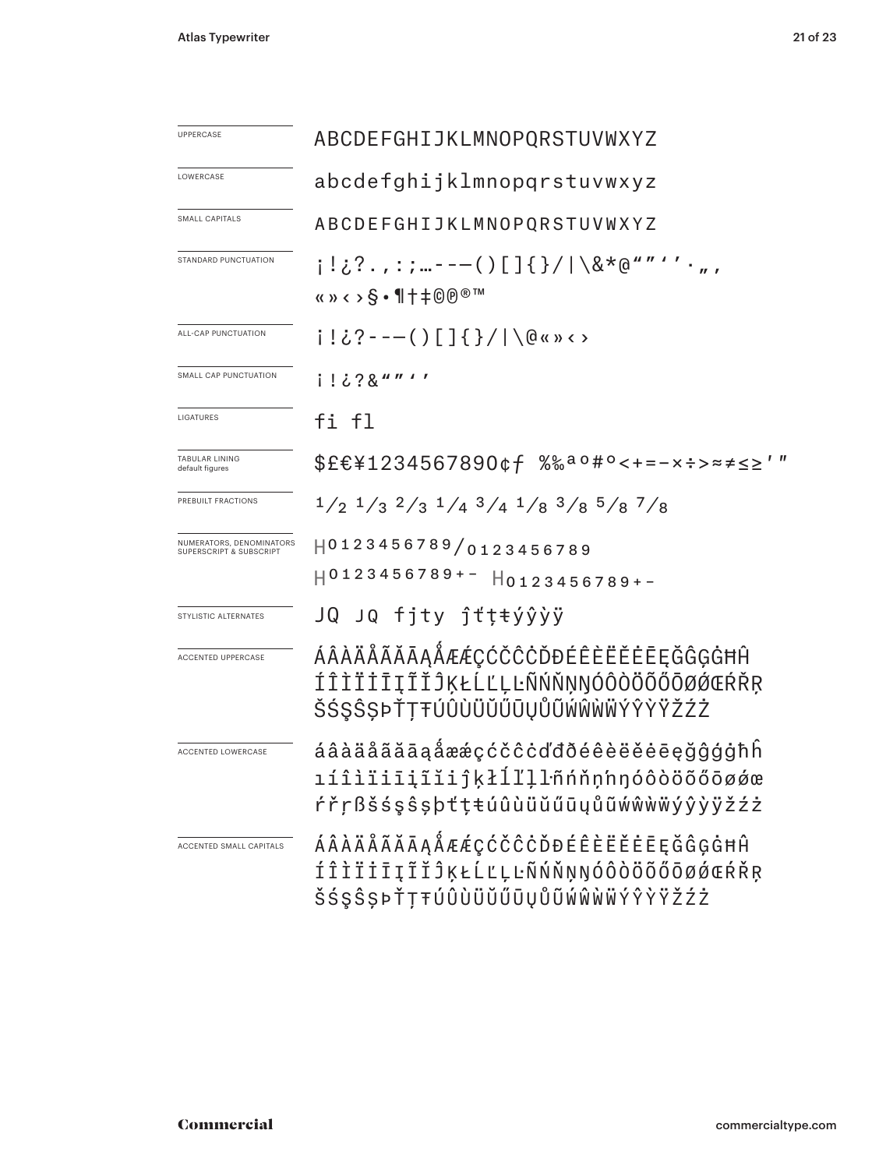| <b>UPPERCASE</b>                                               | ABCDEFGHIJKLMNOPQRSTUVWXYZ                                                                                        |
|----------------------------------------------------------------|-------------------------------------------------------------------------------------------------------------------|
| LOWERCASE                                                      | abcdefghijklmnopqrstuvwxyz                                                                                        |
| SMALL CAPITALS                                                 | ABCDEFGHIJKLMNOPQRSTUVWXYZ                                                                                        |
| STANDARD PUNCTUATION                                           | i!¿?.,:;…---()[]{}/ \&*@""''·",<br>«» < > $\S$ • 1 + $\pm$ © ® ™                                                  |
| ALL-CAP PUNCTUATION                                            | i!¿?---()[]{}/ \@«»<>                                                                                             |
| SMALL CAP PUNCTUATION                                          | i ! ¿?&""'′                                                                                                       |
| LIGATURES                                                      | fi fl                                                                                                             |
| <b>TABULAR LINING</b><br>default figures                       | \$£€¥1234567890¢f %‰aº#°<+=-x÷>≈≠≤≥′″                                                                             |
| PREBUILT FRACTIONS                                             | $1/2$ $1/3$ $2/3$ $1/4$ $3/4$ $1/8$ $3/8$ $5/8$ $7/8$                                                             |
| NUMERATORS, DENOMINATORS<br><b>SUPERSCRIPT &amp; SUBSCRIPT</b> | 0123456789/0123456789<br>$H0123456789+ H0123456789+-$                                                             |
| STYLISTIC ALTERNATES                                           | JQ JQ fjty ĵťțŧýŷỳÿ                                                                                               |
| ACCENTED UPPERCASE                                             | ÁÂÀÄÅÃĂĀĄÅÆÆÇĆČĈĊĎĐÉÊÈËĔĖĒĘĞĜĢĠĦĤ<br>ÍÎÌÏİĪĮĨĬĴĶŁĹĽĻĿÑŃŇŅŊÓÔÒÖŐŐŌØŹŒŔŘŖ<br>ŠŚŞŜȘÞŤŢŦÚÛÙÜŬŰŪŲŮŨŴŴŴŴÝŶŸŽŹŻ          |
| <b>ACCENTED LOWERCASE</b>                                      | áâàäåãããaaåææçćčĉcďđðéêèëěeeeğĝģġħh<br>ıíîìïiīį̃ĭiiĵķłĺľļlñńňņhŋóôòöõőōøǿœ<br>rr̃nßšśşŝṣþttŧúûùüŭűūyůũwŵwwýŷỳÿžźż |
| ACCENTED SMALL CAPITALS                                        | ÁÂÀÄÅÃĂĀĄÅÆÆÇĆČĈĊĎĐÉÊÈËĔĒĘĞĜĢĠĦĤ<br>ÍÎÌÏİĪĮĨĬĴĶŁĹĽĻĿÑŃŇŅŊÓÔÒÖŐŐŌØĆŒŔŘŖ<br>ŠŚŞŜŞÞŤŢŦÚÛÙÜŬŰŪŲŮŨŴŴŴŴÝŶŸŽŹŻ           |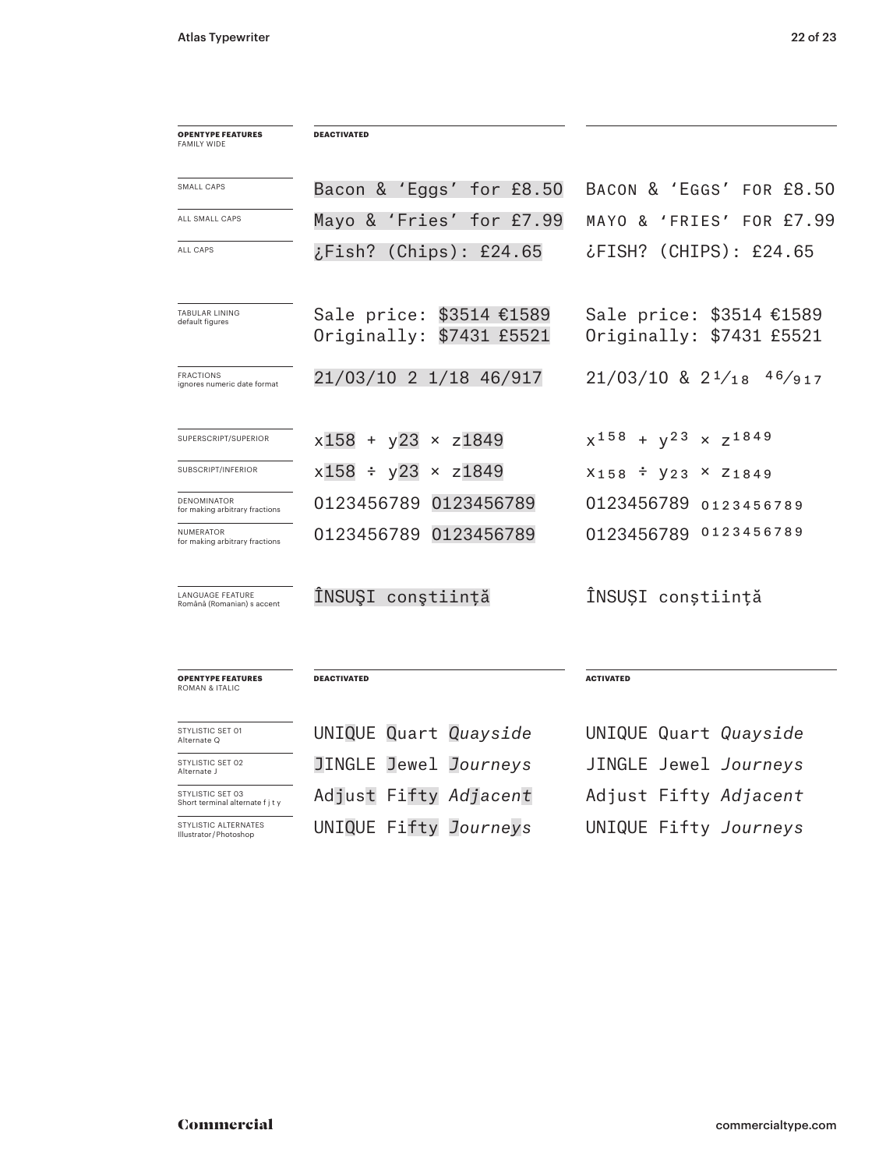| <b>OPENTYPE FEATURES</b><br>FAMILY WIDE               | <b>DEACTIVATED</b>                                      |                                                      |
|-------------------------------------------------------|---------------------------------------------------------|------------------------------------------------------|
| SMALL CAPS                                            | Bacon & 'Eggs' for £8.50                                | BACON & 'EGGS' FOR £8.50                             |
| ALL SMALL CAPS                                        | Mayo &<br>'Fries'<br>for £7.99                          | FOR £7.99<br>'FRIES'<br>MAYO &                       |
| <b>ALL CAPS</b>                                       | (Chips): E24.65<br>$2.$ Fish?                           | (CHIPS): E24.65<br>?FISH، ن                          |
| TABULAR LINING<br>default figures                     | Sale price: \$3514 €1589<br>Originally:<br>\$7431 £5521 | Sale price: \$3514 €1589<br>Originally: \$7431 £5521 |
| <b>FRACTIONS</b><br>ignores numeric date format       | 21/03/10 2 1/18 46/917                                  | $21/03/10$ & $2^{1}/18$<br>46/917                    |
| SUPERSCRIPT/SUPERIOR                                  | $x158 + y23 \times z1849$                               | $x^{158}$<br>$\times \quad Z^{1849}$<br>$+ y^2$      |
| SUBSCRIPT/INFERIOR                                    | $x158 \div y23$<br>$\times$ z1849                       | X158 <sup>÷</sup> V23<br>$x \, z_{1849}$             |
| DENOMINATOR<br>for making arbitrary fractions         | 0123456789<br>0123456789                                | 0123456789<br>0123456789                             |
| NUMERATOR<br>for making arbitrary fractions           | 0123456789 0123456789                                   | 0123456789<br>0123456789                             |
| <b>LANGUAGE FEATURE</b><br>Română (Romanian) s accent | ÎNSUŞI conştiință                                       | ÎNSUȘI conștiință                                    |
| <b>OPENTYPE FEATURES</b><br><b>ROMAN &amp; ITALIC</b> | <b>DEACTIVATED</b>                                      | <b>ACTIVATED</b>                                     |
| STYLISTIC SET 01<br>Alternate Q                       | UNIQUE Quart Quayside                                   | UNIQUE Quart Quayside                                |
| STYLISTIC SET 02<br>Alternate J                       | JINGLE Jewel Journeys                                   | JINGLE Jewel Journeys                                |
| STYLISTIC SET 03<br>Short terminal alternate f j t y  | Adjust Fifty Adjacent                                   | Adjust Fifty Adjacent                                |
| STYLISTIC ALTERNATES<br>Illustrator / Photoshop       | UNIQUE Fifty Journeys                                   | UNIQUE Fifty Journeys                                |